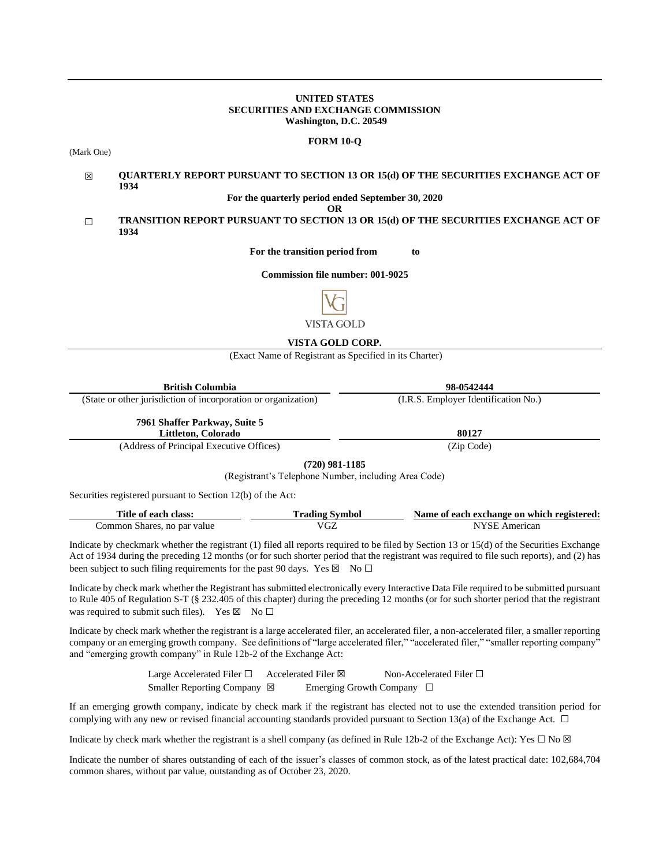# **UNITED STATES SECURITIES AND EXCHANGE COMMISSION Washington, D.C. 20549**

#### **FORM 10-Q**

(Mark One)

#### ☒ **QUARTERLY REPORT PURSUANT TO SECTION 13 OR 15(d) OF THE SECURITIES EXCHANGE ACT OF 1934**

**For the quarterly period ended September 30, 2020**

**OR**

# ☐ **TRANSITION REPORT PURSUANT TO SECTION 13 OR 15(d) OF THE SECURITIES EXCHANGE ACT OF 1934**

**For the transition period from to**

**Commission file number: 001-9025**



# **VISTA GOLD CORP.**

(Exact Name of Registrant as Specified in its Charter)

| <b>British Columbia</b>                                                                                                                                                                                                                                                                                                                                                              | 98-0542444                           |
|--------------------------------------------------------------------------------------------------------------------------------------------------------------------------------------------------------------------------------------------------------------------------------------------------------------------------------------------------------------------------------------|--------------------------------------|
| (State or other jurisdiction of incorporation or organization)                                                                                                                                                                                                                                                                                                                       | (I.R.S. Employer Identification No.) |
| 7961 Shaffer Parkway, Suite 5                                                                                                                                                                                                                                                                                                                                                        |                                      |
| Littleton, Colorado                                                                                                                                                                                                                                                                                                                                                                  | 80127                                |
| $\mathfrak{c}$ $\mathfrak{m}$ $\mathfrak{m}$ $\mathfrak{m}$ $\mathfrak{m}$ $\mathfrak{m}$ $\mathfrak{m}$ $\mathfrak{m}$ $\mathfrak{m}$ $\mathfrak{m}$ $\mathfrak{m}$ $\mathfrak{m}$ $\mathfrak{m}$ $\mathfrak{m}$ $\mathfrak{m}$ $\mathfrak{m}$ $\mathfrak{m}$ $\mathfrak{m}$ $\mathfrak{m}$ $\mathfrak{m}$ $\mathfrak{m}$ $\mathfrak{m}$<br>$\lambda$ $\lambda$ $\lambda$ $\lambda$ | $\sim$ $\sim$ $\sim$ $\sim$          |

(Address of Principal Executive Offices) (Zip Code)

**(720) 981-1185**

(Registrant's Telephone Number, including Area Code)

Securities registered pursuant to Section 12(b) of the Act:

| Title of each class:        | Trading Symbol | Name of each exchange on which registered: |
|-----------------------------|----------------|--------------------------------------------|
| Common Shares, no par value | VGZ            | NYSE American                              |

Indicate by checkmark whether the registrant (1) filed all reports required to be filed by Section 13 or 15(d) of the Securities Exchange Act of 1934 during the preceding 12 months (or for such shorter period that the registrant was required to file such reports), and (2) has been subject to such filing requirements for the past 90 days. Yes  $\boxtimes$  No  $\Box$ 

Indicate by check mark whether the Registrant has submitted electronically every Interactive Data File required to be submitted pursuant to Rule 405 of Regulation S-T (§ 232.405 of this chapter) during the preceding 12 months (or for such shorter period that the registrant was required to submit such files). Yes  $\boxtimes$  No  $\Box$ 

Indicate by check mark whether the registrant is a large accelerated filer, an accelerated filer, a non-accelerated filer, a smaller reporting company or an emerging growth company. See definitions of "large accelerated filer," "accelerated filer," "smaller reporting company" and "emerging growth company" in Rule 12b-2 of the Exchange Act:

> Large Accelerated Filer □ Accelerated Filer ⊠ Non-Accelerated Filer □ Smaller Reporting Company ⊠ Emerging Growth Company □

If an emerging growth company, indicate by check mark if the registrant has elected not to use the extended transition period for complying with any new or revised financial accounting standards provided pursuant to Section 13(a) of the Exchange Act.  $\Box$ 

Indicate by check mark whether the registrant is a shell company (as defined in Rule 12b-2 of the Exchange Act): Yes  $\Box$  No  $\boxtimes$ 

Indicate the number of shares outstanding of each of the issuer's classes of common stock, as of the latest practical date: 102,684,704 common shares, without par value, outstanding as of October 23, 2020.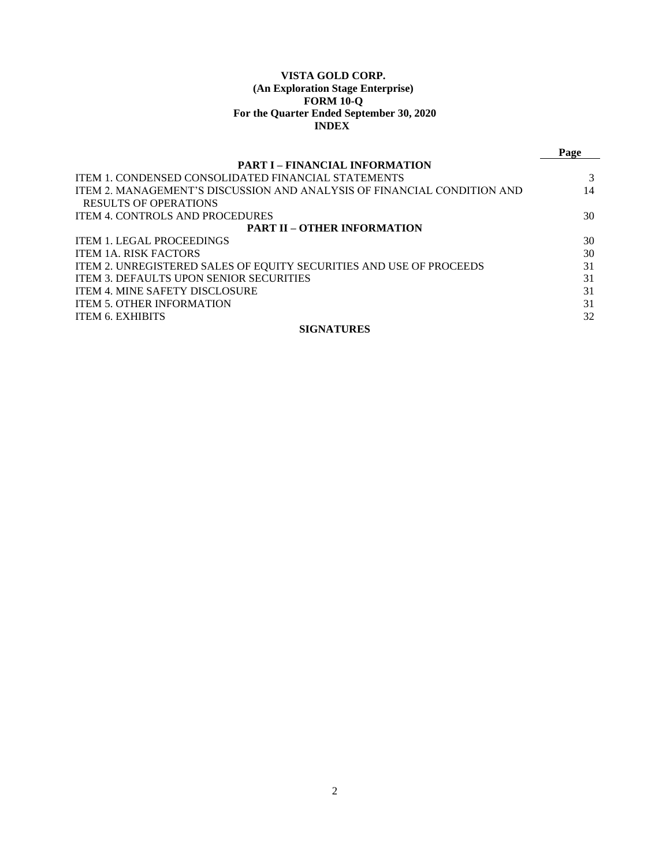# **VISTA GOLD CORP. (An Exploration Stage Enterprise) FORM 10-Q For the Quarter Ended September 30, 2020 INDEX**

|                                                                         | Page |  |  |  |  |  |  |
|-------------------------------------------------------------------------|------|--|--|--|--|--|--|
| <b>PART I – FINANCIAL INFORMATION</b>                                   |      |  |  |  |  |  |  |
| <b>ITEM 1. CONDENSED CONSOLIDATED FINANCIAL STATEMENTS</b>              |      |  |  |  |  |  |  |
| ITEM 2. MANAGEMENT'S DISCUSSION AND ANALYSIS OF FINANCIAL CONDITION AND | 14   |  |  |  |  |  |  |
| RESULTS OF OPERATIONS                                                   |      |  |  |  |  |  |  |
| <b>ITEM 4. CONTROLS AND PROCEDURES</b>                                  | 30   |  |  |  |  |  |  |
| <b>PART II – OTHER INFORMATION</b>                                      |      |  |  |  |  |  |  |
| <b>ITEM 1. LEGAL PROCEEDINGS</b>                                        | 30   |  |  |  |  |  |  |
| <b>ITEM 1A. RISK FACTORS</b>                                            | 30   |  |  |  |  |  |  |
| ITEM 2. UNREGISTERED SALES OF EQUITY SECURITIES AND USE OF PROCEEDS     | 31   |  |  |  |  |  |  |
| <b>ITEM 3. DEFAULTS UPON SENIOR SECURITIES</b>                          | 31   |  |  |  |  |  |  |
| <b>ITEM 4. MINE SAFETY DISCLOSURE</b>                                   | 31   |  |  |  |  |  |  |
| <b>ITEM 5. OTHER INFORMATION</b>                                        | 31   |  |  |  |  |  |  |
| <b>ITEM 6. EXHIBITS</b>                                                 | 32   |  |  |  |  |  |  |
| <b>SIGNATURES</b>                                                       |      |  |  |  |  |  |  |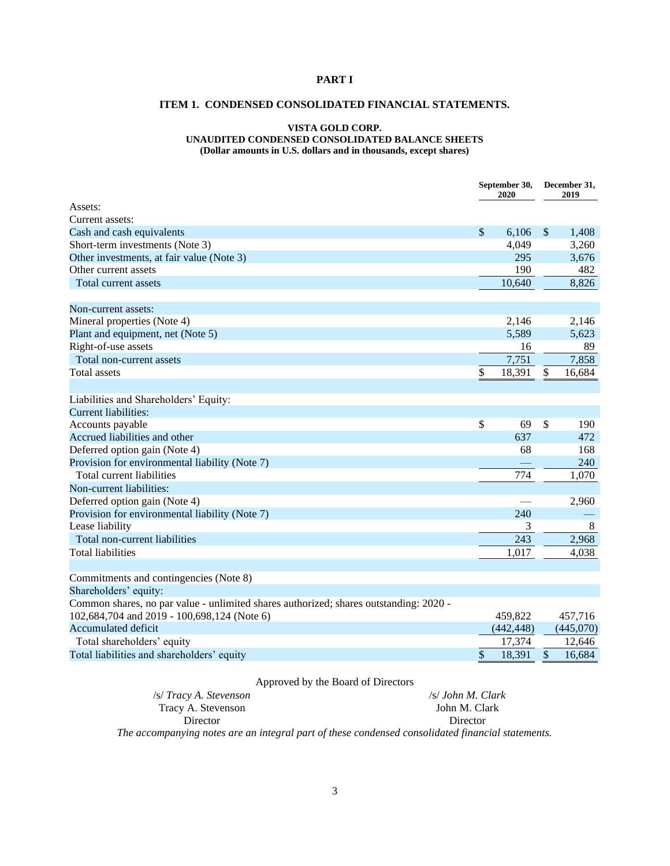# <span id="page-2-1"></span><span id="page-2-0"></span>**PART I**

# **ITEM 1. CONDENSED CONSOLIDATED FINANCIAL STATEMENTS.**

# **VISTA GOLD CORP. UNAUDITED CONDENSED CONSOLIDATED BALANCE SHEETS**

**(Dollar amounts in U.S. dollars and in thousands, except shares)**

|                                                                                       | September 30,<br>2020 |            |               | December 31,<br>2019 |  |  |
|---------------------------------------------------------------------------------------|-----------------------|------------|---------------|----------------------|--|--|
| Assets:                                                                               |                       |            |               |                      |  |  |
| Current assets:                                                                       |                       |            |               |                      |  |  |
| Cash and cash equivalents                                                             | \$                    | 6,106      | $\mathcal{S}$ | 1,408                |  |  |
| Short-term investments (Note 3)                                                       |                       | 4,049      |               | 3,260                |  |  |
| Other investments, at fair value (Note 3)                                             |                       | 295        |               | 3,676                |  |  |
| Other current assets                                                                  |                       | 190        |               | 482                  |  |  |
| Total current assets                                                                  |                       | 10,640     |               | 8,826                |  |  |
| Non-current assets:                                                                   |                       |            |               |                      |  |  |
| Mineral properties (Note 4)                                                           |                       | 2.146      |               | 2,146                |  |  |
| Plant and equipment, net (Note 5)                                                     |                       | 5,589      |               | 5,623                |  |  |
| Right-of-use assets                                                                   |                       | 16         |               | 89                   |  |  |
| Total non-current assets                                                              |                       | 7,751      |               | 7,858                |  |  |
| <b>Total assets</b>                                                                   | \$                    | 18,391     | \$            | 16,684               |  |  |
| Liabilities and Shareholders' Equity:                                                 |                       |            |               |                      |  |  |
| <b>Current liabilities:</b>                                                           |                       |            |               |                      |  |  |
| Accounts payable                                                                      | \$                    | 69         | \$            | 190                  |  |  |
| Accrued liabilities and other                                                         |                       | 637        |               | 472                  |  |  |
| Deferred option gain (Note 4)                                                         |                       | 68         |               | 168                  |  |  |
| Provision for environmental liability (Note 7)                                        |                       |            |               | 240                  |  |  |
| Total current liabilities                                                             |                       | 774        |               | 1,070                |  |  |
| Non-current liabilities:                                                              |                       |            |               |                      |  |  |
| Deferred option gain (Note 4)                                                         |                       |            |               | 2,960                |  |  |
| Provision for environmental liability (Note 7)                                        |                       | 240        |               |                      |  |  |
| Lease liability                                                                       |                       | 3          |               | $\,8\,$              |  |  |
| Total non-current liabilities                                                         |                       | 243        |               | 2,968                |  |  |
| <b>Total liabilities</b>                                                              |                       | 1,017      |               | 4,038                |  |  |
| Commitments and contingencies (Note 8)                                                |                       |            |               |                      |  |  |
| Shareholders' equity:                                                                 |                       |            |               |                      |  |  |
| Common shares, no par value - unlimited shares authorized; shares outstanding: 2020 - |                       |            |               |                      |  |  |
| 102,684,704 and 2019 - 100,698,124 (Note 6)                                           |                       | 459,822    |               | 457,716              |  |  |
| <b>Accumulated deficit</b>                                                            |                       | (442, 448) |               | (445,070)            |  |  |
| Total shareholders' equity                                                            |                       | 17,374     |               | 12,646               |  |  |
| Total liabilities and shareholders' equity                                            | \$                    | 18,391     | \$            | 16,684               |  |  |
|                                                                                       |                       |            |               |                      |  |  |

# Approved by the Board of Directors

/s/ *Tracy A. Stevenson* Tracy A. Stevenson Director /s/ *John M. Clark* John M. Clark Director *The accompanying notes are an integral part of these condensed consolidated financial statements.*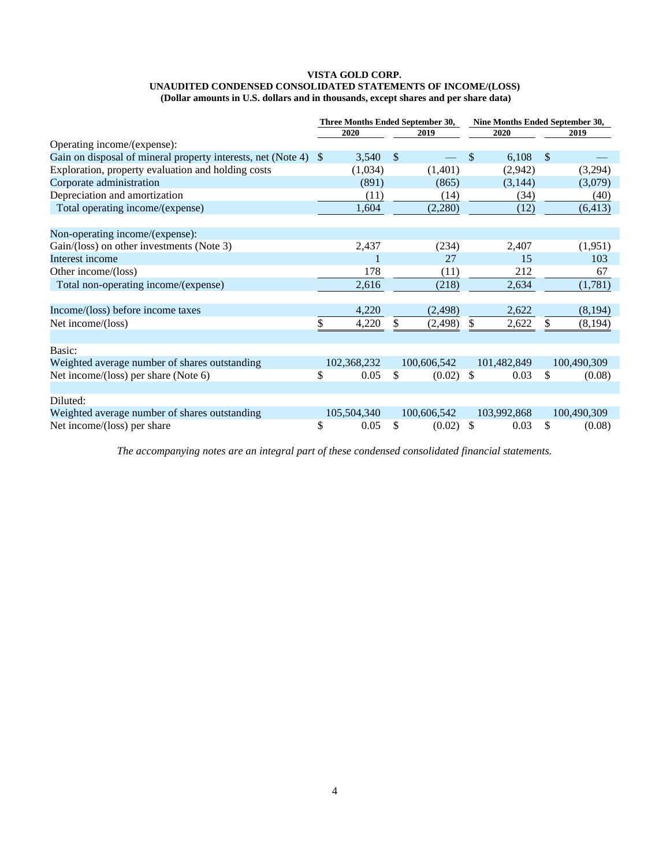#### **VISTA GOLD CORP. UNAUDITED CONDENSED CONSOLIDATED STATEMENTS OF INCOME/(LOSS) (Dollar amounts in U.S. dollars and in thousands, except shares and per share data)**

|                                                              |               | Three Months Ended September 30, |              |             |      | Nine Months Ended September 30, |               |             |
|--------------------------------------------------------------|---------------|----------------------------------|--------------|-------------|------|---------------------------------|---------------|-------------|
|                                                              |               | 2020                             | 2019         |             | 2020 |                                 |               | 2019        |
| Operating income/(expense):                                  |               |                                  |              |             |      |                                 |               |             |
| Gain on disposal of mineral property interests, net (Note 4) | <sup>\$</sup> | 3,540                            | $\mathbb{S}$ |             | \$   | 6,108                           | $\mathcal{S}$ |             |
| Exploration, property evaluation and holding costs           |               | (1,034)                          |              | (1,401)     |      | (2,942)                         |               | (3,294)     |
| Corporate administration                                     |               | (891)                            |              | (865)       |      | (3,144)                         |               | (3,079)     |
| Depreciation and amortization                                |               | (11)                             |              | (14)        |      | (34)                            |               | (40)        |
| Total operating income/(expense)                             |               | 1,604                            |              | (2,280)     |      | (12)                            |               | (6, 413)    |
| Non-operating income/(expense):                              |               |                                  |              |             |      |                                 |               |             |
| Gain/(loss) on other investments (Note 3)                    |               | 2,437                            |              | (234)       |      | 2,407                           |               | (1,951)     |
| Interest income                                              |               |                                  |              | 27          |      | 15                              |               | 103         |
| Other income/(loss)                                          |               | 178                              |              | (11)        |      | 212                             |               | 67          |
| Total non-operating income/(expense)                         |               | 2,616                            |              | (218)       |      | 2,634                           |               | (1,781)     |
| Income/(loss) before income taxes                            |               | 4,220                            |              | (2, 498)    |      | 2,622                           |               | (8,194)     |
| Net income/(loss)                                            | \$            | 4,220                            | \$           | (2, 498)    | \$   | 2,622                           | \$            | (8, 194)    |
| Basic:                                                       |               |                                  |              |             |      |                                 |               |             |
| Weighted average number of shares outstanding                |               | 102,368,232                      |              | 100,606,542 |      | 101,482,849                     |               | 100,490,309 |
| Net income/(loss) per share (Note 6)                         | \$            | 0.05                             | \$           | (0.02)      | \$   | 0.03                            | \$            | (0.08)      |
| Diluted:                                                     |               |                                  |              |             |      |                                 |               |             |
| Weighted average number of shares outstanding                |               | 105,504,340                      |              | 100,606,542 |      | 103,992,868                     |               | 100,490,309 |
| Net income/(loss) per share                                  | \$            | 0.05                             | \$           | (0.02)      | \$   | 0.03                            | \$            | (0.08)      |

*The accompanying notes are an integral part of these condensed consolidated financial statements.*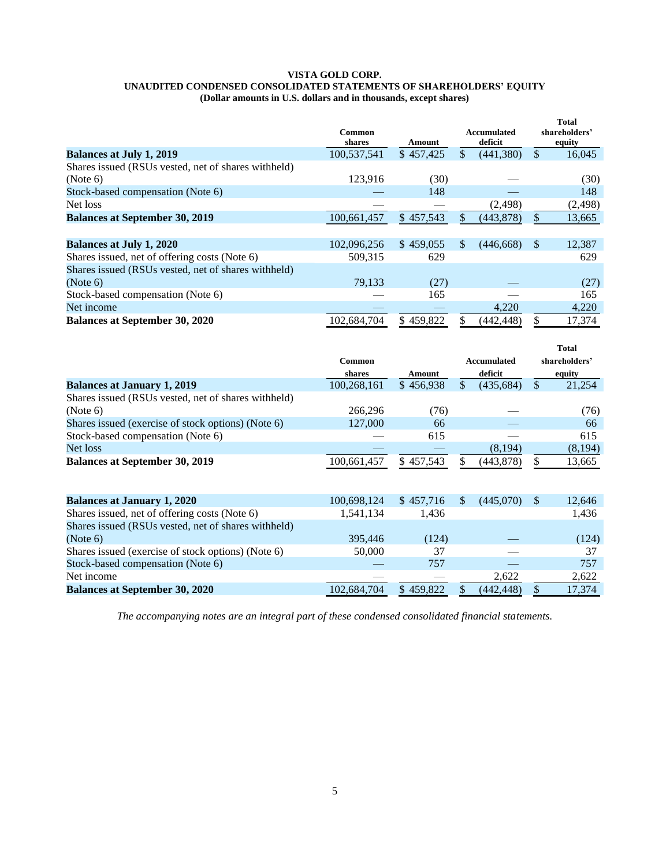#### **VISTA GOLD CORP. UNAUDITED CONDENSED CONSOLIDATED STATEMENTS OF SHAREHOLDERS' EQUITY (Dollar amounts in U.S. dollars and in thousands, except shares)**

|                                                     | <b>Common</b><br>shares | Amount    |               | <b>Accumulated</b><br>deficit |               | <b>Total</b><br>shareholders'<br>equity |
|-----------------------------------------------------|-------------------------|-----------|---------------|-------------------------------|---------------|-----------------------------------------|
| <b>Balances at July 1, 2019</b>                     | 100,537,541             | \$457,425 | \$            | (441,380)                     | \$            | 16,045                                  |
| Shares issued (RSUs vested, net of shares withheld) |                         |           |               |                               |               |                                         |
| (Note 6)                                            | 123,916                 | (30)      |               |                               |               | (30)                                    |
| Stock-based compensation (Note 6)                   |                         | 148       |               |                               |               | 148                                     |
| Net loss                                            |                         |           |               | (2, 498)                      |               | (2, 498)                                |
| <b>Balances at September 30, 2019</b>               | 100,661,457             | \$457,543 |               | (443, 878)                    | \$            | 13,665                                  |
|                                                     |                         |           |               |                               |               |                                         |
| <b>Balances at July 1, 2020</b>                     | 102,096,256             | \$459,055 | <sup>\$</sup> | (446, 668)                    | <sup>\$</sup> | 12,387                                  |
| Shares issued, net of offering costs (Note 6)       | 509.315                 | 629       |               |                               |               | 629                                     |
| Shares issued (RSUs vested, net of shares withheld) |                         |           |               |                               |               |                                         |
| (Note 6)                                            | 79,133                  | (27)      |               |                               |               | (27)                                    |
| Stock-based compensation (Note 6)                   |                         | 165       |               |                               |               | 165                                     |
| Net income                                          |                         |           |               | 4,220                         |               | 4,220                                   |
| <b>Balances at September 30, 2020</b>               | 102.684.704             | \$459,822 |               | (442, 448)                    | \$            | 17,374                                  |

|                                                     |             |           |                    | <b>Total</b>  |
|-----------------------------------------------------|-------------|-----------|--------------------|---------------|
|                                                     | Common      |           | <b>Accumulated</b> | shareholders' |
|                                                     | shares      | Amount    | deficit            | equity        |
| <b>Balances at January 1, 2019</b>                  | 100,268,161 | \$456.938 | (435.684)          | \$<br>21,254  |
| Shares issued (RSUs vested, net of shares withheld) |             |           |                    |               |
| (Note 6)                                            | 266.296     | (76)      |                    | (76)          |
| Shares issued (exercise of stock options) (Note 6)  | 127,000     | 66        |                    | 66            |
| Stock-based compensation (Note 6)                   |             | 615       |                    | 615           |
| Net loss                                            |             |           | (8, 194)           | (8, 194)      |
| <b>Balances at September 30, 2019</b>               | 100,661,457 | \$457.543 | (443, 878)         | 13,665        |

| 100,698,124 | \$457,716 | (445,070) | S | 12,646 |
|-------------|-----------|-----------|---|--------|
| 1.541.134   | 1.436     |           |   | 1.436  |
|             |           |           |   |        |
| 395,446     | (124)     |           |   | (124)  |
| 50,000      | 37        |           |   | 37     |
|             | 757       |           |   | 757    |
|             |           | 2.622     |   | 2,622  |
| 102,684,704 | \$459,822 | (442.448) |   | 17,374 |
|             |           |           |   |        |

*The accompanying notes are an integral part of these condensed consolidated financial statements.*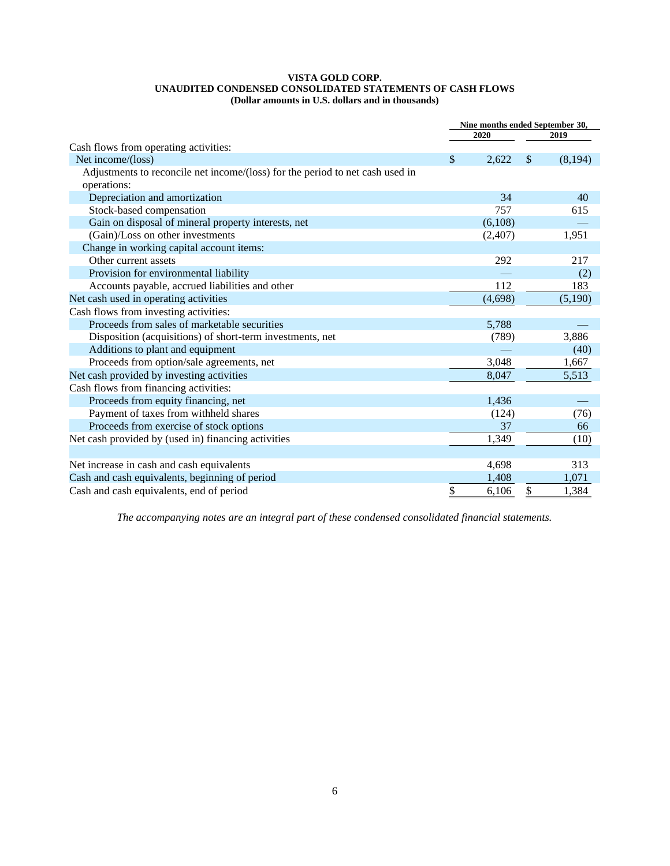# **VISTA GOLD CORP. UNAUDITED CONDENSED CONSOLIDATED STATEMENTS OF CASH FLOWS (Dollar amounts in U.S. dollars and in thousands)**

|                                                                               | Nine months ended September 30, |         |    |          |
|-------------------------------------------------------------------------------|---------------------------------|---------|----|----------|
|                                                                               |                                 | 2020    |    | 2019     |
| Cash flows from operating activities:                                         |                                 |         |    |          |
| Net income/(loss)                                                             | \$                              | 2,622   | \$ | (8, 194) |
| Adjustments to reconcile net income/(loss) for the period to net cash used in |                                 |         |    |          |
| operations:                                                                   |                                 |         |    |          |
| Depreciation and amortization                                                 |                                 | 34      |    | 40       |
| Stock-based compensation                                                      |                                 | 757     |    | 615      |
| Gain on disposal of mineral property interests, net                           |                                 | (6,108) |    |          |
| (Gain)/Loss on other investments                                              |                                 | (2,407) |    | 1,951    |
| Change in working capital account items:                                      |                                 |         |    |          |
| Other current assets                                                          |                                 | 292     |    | 217      |
| Provision for environmental liability                                         |                                 |         |    | (2)      |
| Accounts payable, accrued liabilities and other                               |                                 | 112     |    | 183      |
| Net cash used in operating activities                                         |                                 | (4,698) |    | (5,190)  |
| Cash flows from investing activities:                                         |                                 |         |    |          |
| Proceeds from sales of marketable securities                                  |                                 | 5,788   |    |          |
| Disposition (acquisitions) of short-term investments, net                     |                                 | (789)   |    | 3,886    |
| Additions to plant and equipment                                              |                                 |         |    | (40)     |
| Proceeds from option/sale agreements, net                                     |                                 | 3,048   |    | 1,667    |
| Net cash provided by investing activities                                     |                                 | 8,047   |    | 5,513    |
| Cash flows from financing activities:                                         |                                 |         |    |          |
| Proceeds from equity financing, net                                           |                                 | 1,436   |    |          |
| Payment of taxes from withheld shares                                         |                                 | (124)   |    | (76)     |
| Proceeds from exercise of stock options                                       |                                 | 37      |    | 66       |
| Net cash provided by (used in) financing activities                           |                                 | 1,349   |    | (10)     |
|                                                                               |                                 |         |    |          |
| Net increase in cash and cash equivalents                                     |                                 | 4,698   |    | 313      |
| Cash and cash equivalents, beginning of period                                |                                 | 1,408   |    | 1,071    |
| Cash and cash equivalents, end of period                                      | \$                              | 6,106   | \$ | 1,384    |

*The accompanying notes are an integral part of these condensed consolidated financial statements.*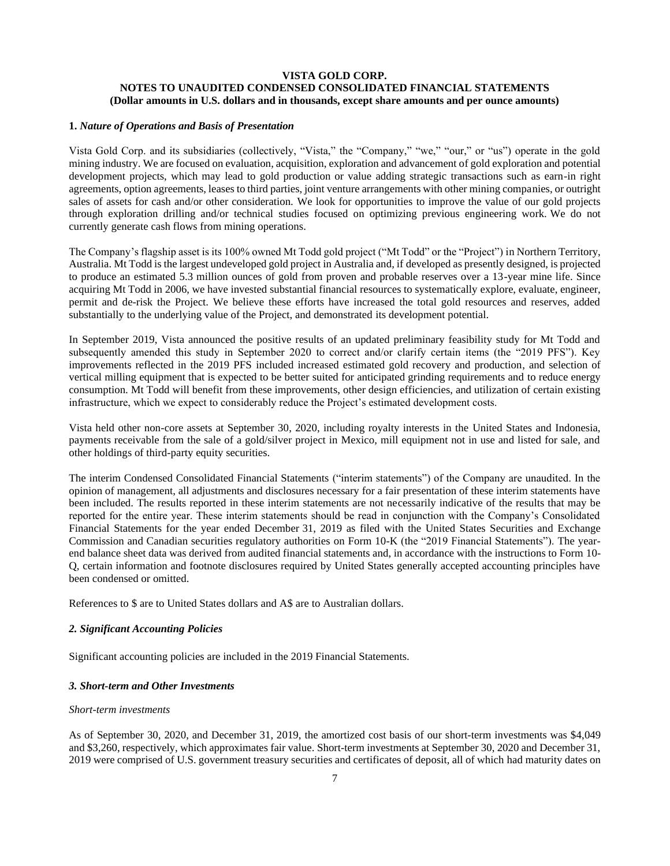# **VISTA GOLD CORP. NOTES TO UNAUDITED CONDENSED CONSOLIDATED FINANCIAL STATEMENTS (Dollar amounts in U.S. dollars and in thousands, except share amounts and per ounce amounts)**

# **1.** *Nature of Operations and Basis of Presentation*

Vista Gold Corp. and its subsidiaries (collectively, "Vista," the "Company," "we," "our," or "us") operate in the gold mining industry. We are focused on evaluation, acquisition, exploration and advancement of gold exploration and potential development projects, which may lead to gold production or value adding strategic transactions such as earn-in right agreements, option agreements, leases to third parties, joint venture arrangements with other mining companies, or outright sales of assets for cash and/or other consideration. We look for opportunities to improve the value of our gold projects through exploration drilling and/or technical studies focused on optimizing previous engineering work. We do not currently generate cash flows from mining operations.

The Company's flagship asset is its 100% owned Mt Todd gold project ("Mt Todd" or the "Project") in Northern Territory, Australia. Mt Todd is the largest undeveloped gold project in Australia and, if developed as presently designed, is projected to produce an estimated 5.3 million ounces of gold from proven and probable reserves over a 13-year mine life. Since acquiring Mt Todd in 2006, we have invested substantial financial resources to systematically explore, evaluate, engineer, permit and de-risk the Project. We believe these efforts have increased the total gold resources and reserves, added substantially to the underlying value of the Project, and demonstrated its development potential.

In September 2019, Vista announced the positive results of an updated preliminary feasibility study for Mt Todd and subsequently amended this study in September 2020 to correct and/or clarify certain items (the "2019 PFS"). Key improvements reflected in the 2019 PFS included increased estimated gold recovery and production, and selection of vertical milling equipment that is expected to be better suited for anticipated grinding requirements and to reduce energy consumption. Mt Todd will benefit from these improvements, other design efficiencies, and utilization of certain existing infrastructure, which we expect to considerably reduce the Project's estimated development costs.

Vista held other non-core assets at September 30, 2020, including royalty interests in the United States and Indonesia, payments receivable from the sale of a gold/silver project in Mexico, mill equipment not in use and listed for sale, and other holdings of third-party equity securities.

The interim Condensed Consolidated Financial Statements ("interim statements") of the Company are unaudited. In the opinion of management, all adjustments and disclosures necessary for a fair presentation of these interim statements have been included. The results reported in these interim statements are not necessarily indicative of the results that may be reported for the entire year. These interim statements should be read in conjunction with the Company's Consolidated Financial Statements for the year ended December 31, 2019 as filed with the United States Securities and Exchange Commission and Canadian securities regulatory authorities on Form 10-K (the "2019 Financial Statements"). The yearend balance sheet data was derived from audited financial statements and, in accordance with the instructions to Form 10- Q, certain information and footnote disclosures required by United States generally accepted accounting principles have been condensed or omitted.

References to \$ are to United States dollars and A\$ are to Australian dollars.

# *2. Significant Accounting Policies*

Significant accounting policies are included in the 2019 Financial Statements.

#### *3. Short-term and Other Investments*

# *Short-term investments*

As of September 30, 2020, and December 31, 2019, the amortized cost basis of our short-term investments was \$4,049 and \$3,260, respectively, which approximates fair value. Short-term investments at September 30, 2020 and December 31, 2019 were comprised of U.S. government treasury securities and certificates of deposit, all of which had maturity dates on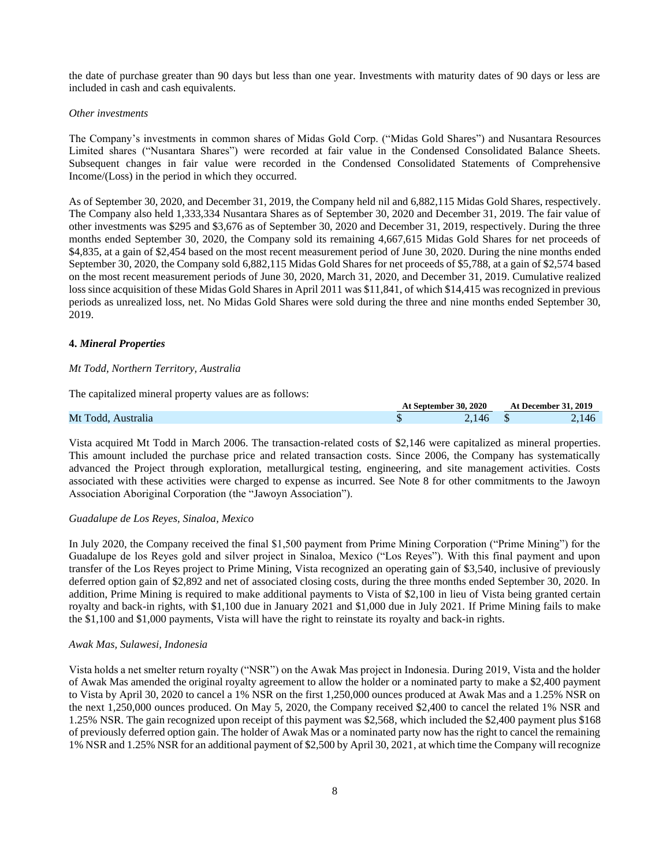the date of purchase greater than 90 days but less than one year. Investments with maturity dates of 90 days or less are included in cash and cash equivalents.

#### *Other investments*

The Company's investments in common shares of Midas Gold Corp. ("Midas Gold Shares") and Nusantara Resources Limited shares ("Nusantara Shares") were recorded at fair value in the Condensed Consolidated Balance Sheets. Subsequent changes in fair value were recorded in the Condensed Consolidated Statements of Comprehensive Income/(Loss) in the period in which they occurred.

As of September 30, 2020, and December 31, 2019, the Company held nil and 6,882,115 Midas Gold Shares, respectively. The Company also held 1,333,334 Nusantara Shares as of September 30, 2020 and December 31, 2019. The fair value of other investments was \$295 and \$3,676 as of September 30, 2020 and December 31, 2019, respectively. During the three months ended September 30, 2020, the Company sold its remaining 4,667,615 Midas Gold Shares for net proceeds of \$4,835, at a gain of \$2,454 based on the most recent measurement period of June 30, 2020. During the nine months ended September 30, 2020, the Company sold 6,882,115 Midas Gold Shares for net proceeds of \$5,788, at a gain of \$2,574 based on the most recent measurement periods of June 30, 2020, March 31, 2020, and December 31, 2019. Cumulative realized loss since acquisition of these Midas Gold Shares in April 2011 was \$11,841, of which \$14,415 was recognized in previous periods as unrealized loss, net. No Midas Gold Shares were sold during the three and nine months ended September 30, 2019.

# **4.** *Mineral Properties*

#### *Mt Todd, Northern Territory, Australia*

The capitalized mineral property values are as follows:

|                         |     | At September 30, 2020 | <b>At December 31, 2019</b> |
|-------------------------|-----|-----------------------|-----------------------------|
| Mt Todd.<br>. Australıa | ιIJ | L40                   | $\angle$ , 146              |

Vista acquired Mt Todd in March 2006. The transaction-related costs of \$2,146 were capitalized as mineral properties. This amount included the purchase price and related transaction costs. Since 2006, the Company has systematically advanced the Project through exploration, metallurgical testing, engineering, and site management activities. Costs associated with these activities were charged to expense as incurred. See Note 8 for other commitments to the Jawoyn Association Aboriginal Corporation (the "Jawoyn Association").

#### *Guadalupe de Los Reyes, Sinaloa, Mexico*

In July 2020, the Company received the final \$1,500 payment from Prime Mining Corporation ("Prime Mining") for the Guadalupe de los Reyes gold and silver project in Sinaloa, Mexico ("Los Reyes"). With this final payment and upon transfer of the Los Reyes project to Prime Mining, Vista recognized an operating gain of \$3,540, inclusive of previously deferred option gain of \$2,892 and net of associated closing costs, during the three months ended September 30, 2020. In addition, Prime Mining is required to make additional payments to Vista of \$2,100 in lieu of Vista being granted certain royalty and back-in rights, with \$1,100 due in January 2021 and \$1,000 due in July 2021. If Prime Mining fails to make the \$1,100 and \$1,000 payments, Vista will have the right to reinstate its royalty and back-in rights.

#### *Awak Mas, Sulawesi, Indonesia*

Vista holds a net smelter return royalty ("NSR") on the Awak Mas project in Indonesia. During 2019, Vista and the holder of Awak Mas amended the original royalty agreement to allow the holder or a nominated party to make a \$2,400 payment to Vista by April 30, 2020 to cancel a 1% NSR on the first 1,250,000 ounces produced at Awak Mas and a 1.25% NSR on the next 1,250,000 ounces produced. On May 5, 2020, the Company received \$2,400 to cancel the related 1% NSR and 1.25% NSR. The gain recognized upon receipt of this payment was \$2,568, which included the \$2,400 payment plus \$168 of previously deferred option gain. The holder of Awak Mas or a nominated party now has the right to cancel the remaining 1% NSR and 1.25% NSR for an additional payment of \$2,500 by April 30, 2021, at which time the Company will recognize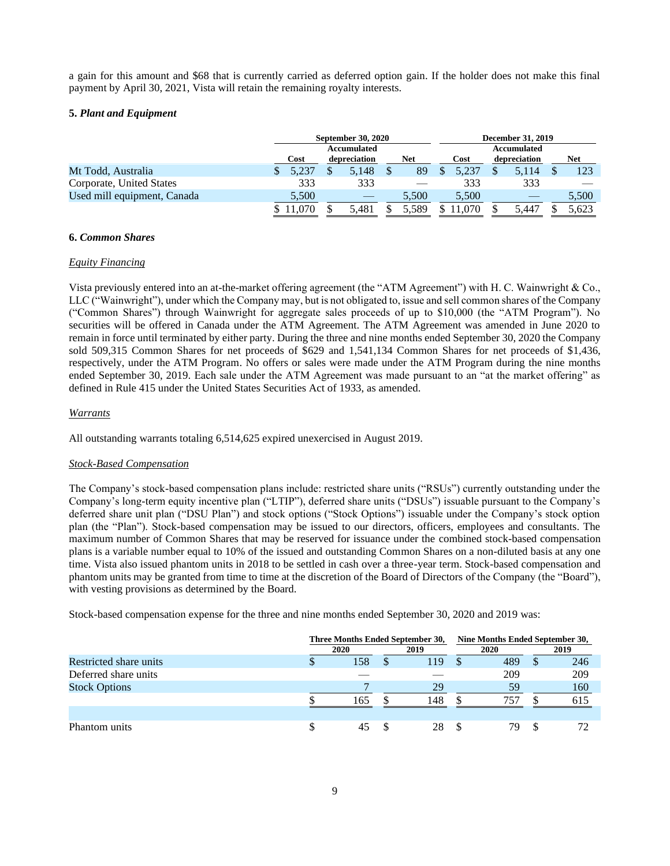a gain for this amount and \$68 that is currently carried as deferred option gain. If the holder does not make this final payment by April 30, 2021, Vista will retain the remaining royalty interests.

# **5.** *Plant and Equipment*

|                             |       | <b>September 30, 2020</b> |                     |  |       |  |                    | <b>December 31, 2019</b> |       |            |       |  |  |
|-----------------------------|-------|---------------------------|---------------------|--|-------|--|--------------------|--------------------------|-------|------------|-------|--|--|
|                             |       | <b>Accumulated</b>        |                     |  |       |  | <b>Accumulated</b> |                          |       |            |       |  |  |
|                             | Cost  |                           | Net<br>depreciation |  | Cost  |  | depreciation       |                          |       | <b>Net</b> |       |  |  |
| Mt Todd, Australia          |       |                           | 5.148               |  | 89    |  | 5.237              |                          | 5,114 |            | 123   |  |  |
| Corporate, United States    | 333   |                           | 333                 |  |       |  | 333                |                          | 333   |            |       |  |  |
| Used mill equipment, Canada | 5,500 |                           |                     |  | 5,500 |  | 5.500              |                          |       |            | 5,500 |  |  |
|                             |       |                           | 5.481               |  | 5.589 |  |                    |                          | 5.447 |            | 5.623 |  |  |

# **6.** *Common Shares*

# *Equity Financing*

Vista previously entered into an at-the-market offering agreement (the "ATM Agreement") with H. C. Wainwright & Co., LLC ("Wainwright"), under which the Company may, but is not obligated to, issue and sell common shares of the Company ("Common Shares") through Wainwright for aggregate sales proceeds of up to \$10,000 (the "ATM Program"). No securities will be offered in Canada under the ATM Agreement. The ATM Agreement was amended in June 2020 to remain in force until terminated by either party. During the three and nine months ended September 30, 2020 the Company sold 509,315 Common Shares for net proceeds of \$629 and 1,541,134 Common Shares for net proceeds of \$1,436, respectively, under the ATM Program. No offers or sales were made under the ATM Program during the nine months ended September 30, 2019. Each sale under the ATM Agreement was made pursuant to an "at the market offering" as defined in Rule 415 under the United States Securities Act of 1933, as amended.

# *Warrants*

All outstanding warrants totaling 6,514,625 expired unexercised in August 2019.

# *Stock-Based Compensation*

The Company's stock-based compensation plans include: restricted share units ("RSUs") currently outstanding under the Company's long-term equity incentive plan ("LTIP"), deferred share units ("DSUs") issuable pursuant to the Company's deferred share unit plan ("DSU Plan") and stock options ("Stock Options") issuable under the Company's stock option plan (the "Plan"). Stock-based compensation may be issued to our directors, officers, employees and consultants. The maximum number of Common Shares that may be reserved for issuance under the combined stock-based compensation plans is a variable number equal to 10% of the issued and outstanding Common Shares on a non-diluted basis at any one time. Vista also issued phantom units in 2018 to be settled in cash over a three-year term. Stock-based compensation and phantom units may be granted from time to time at the discretion of the Board of Directors of the Company (the "Board"), with vesting provisions as determined by the Board.

Stock-based compensation expense for the three and nine months ended September 30, 2020 and 2019 was:

|                        | Three Months Ended September 30, |     |  |      |  |      |   | Nine Months Ended September 30, |  |
|------------------------|----------------------------------|-----|--|------|--|------|---|---------------------------------|--|
|                        | 2020                             |     |  | 2019 |  | 2020 |   | 2019                            |  |
| Restricted share units | Φ                                | 158 |  | 119  |  | 489  | D | 246                             |  |
| Deferred share units   |                                  |     |  |      |  | 209  |   | 209                             |  |
| <b>Stock Options</b>   |                                  |     |  | 29   |  | 59   |   | 160                             |  |
|                        |                                  | 165 |  | 148  |  | 757  |   | 615                             |  |
|                        |                                  |     |  |      |  |      |   |                                 |  |
| Phantom units          | S                                |     |  | 28   |  | 79   |   | 72                              |  |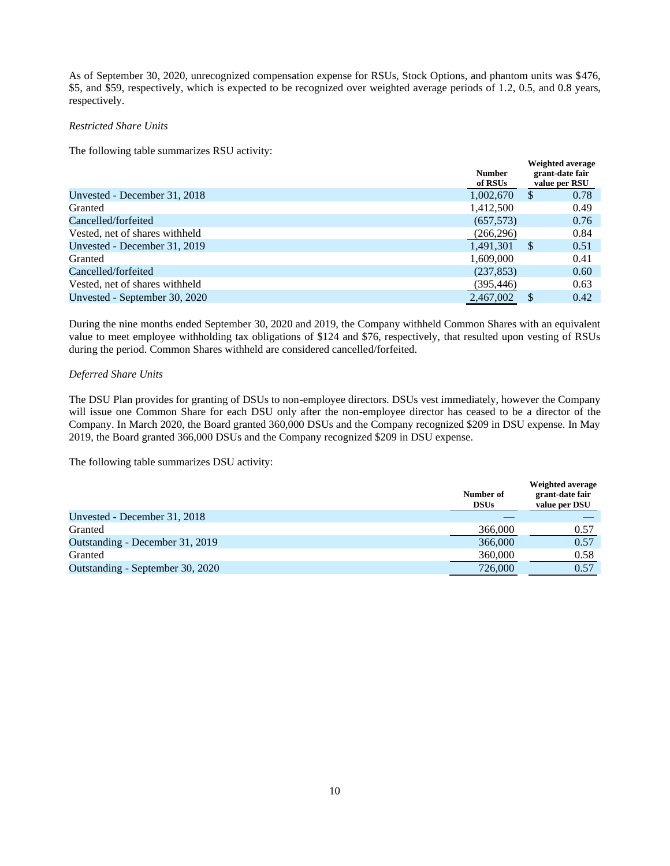As of September 30, 2020, unrecognized compensation expense for RSUs, Stock Options, and phantom units was \$476, \$5, and \$59, respectively, which is expected to be recognized over weighted average periods of 1.2, 0.5, and 0.8 years, respectively.

# *Restricted Share Units*

The following table summarizes RSU activity:

|                                | <b>Number</b><br>of RSUs | Weighted average<br>grant-date fair<br>value per RSU |
|--------------------------------|--------------------------|------------------------------------------------------|
| Unvested - December 31, 2018   | 1,002,670                | 0.78<br>S                                            |
| Granted                        | 1,412,500                | 0.49                                                 |
| Cancelled/forfeited            | (657,573)                | 0.76                                                 |
| Vested, net of shares withheld | (266, 296)               | 0.84                                                 |
| Unvested - December 31, 2019   | 1.491.301                | 0.51<br>S                                            |
| Granted                        | 1,609,000                | 0.41                                                 |
| Cancelled/forfeited            | (237, 853)               | 0.60                                                 |
| Vested, net of shares withheld | (395, 446)               | 0.63                                                 |
| Unvested - September 30, 2020  | 2.467,002                | 0.42                                                 |

During the nine months ended September 30, 2020 and 2019, the Company withheld Common Shares with an equivalent value to meet employee withholding tax obligations of \$124 and \$76, respectively, that resulted upon vesting of RSUs during the period. Common Shares withheld are considered cancelled/forfeited.

# *Deferred Share Units*

The DSU Plan provides for granting of DSUs to non-employee directors. DSUs vest immediately, however the Company will issue one Common Share for each DSU only after the non-employee director has ceased to be a director of the Company. In March 2020, the Board granted 360,000 DSUs and the Company recognized \$209 in DSU expense. In May 2019, the Board granted 366,000 DSUs and the Company recognized \$209 in DSU expense.

The following table summarizes DSU activity:

|                                  | Number of<br><b>DSUs</b> | <b>Weighted average</b><br>grant-date fair<br>value per DSU |
|----------------------------------|--------------------------|-------------------------------------------------------------|
| Unvested - December 31, 2018     |                          |                                                             |
| Granted                          | 366,000                  | 0.57                                                        |
| Outstanding - December 31, 2019  | 366,000                  | 0.57                                                        |
| Granted                          | 360,000                  | 0.58                                                        |
| Outstanding - September 30, 2020 | 726,000                  | 0.57                                                        |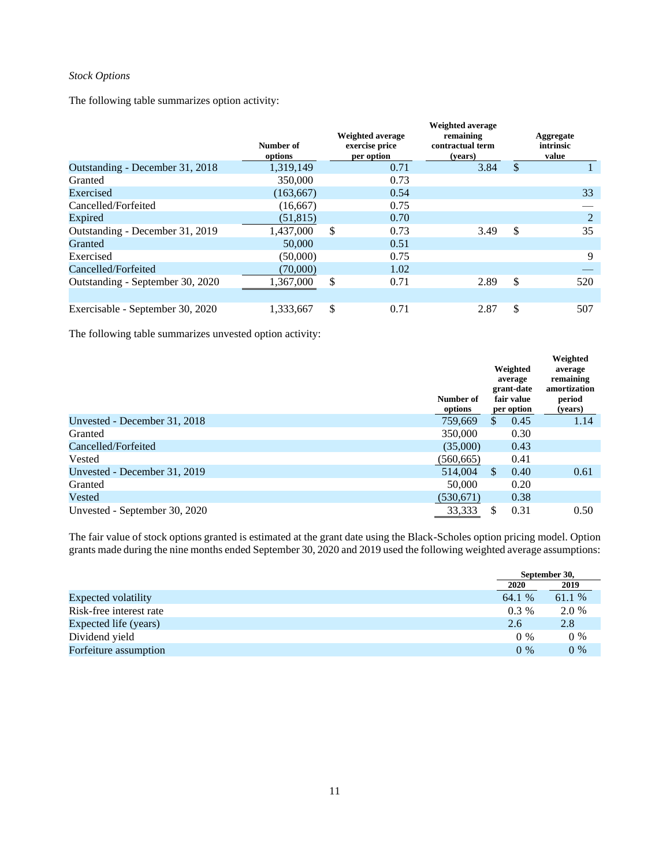# *Stock Options*

The following table summarizes option activity:

|                                  |                      | <b>Weighted average</b>      | <b>Weighted average</b><br>remaining | Aggregate          |
|----------------------------------|----------------------|------------------------------|--------------------------------------|--------------------|
|                                  | Number of<br>options | exercise price<br>per option | contractual term<br>(vears)          | intrinsic<br>value |
| Outstanding - December 31, 2018  | 1,319,149            | 0.71                         | 3.84                                 | \$                 |
| Granted                          | 350,000              | 0.73                         |                                      |                    |
| Exercised                        | (163, 667)           | 0.54                         |                                      | 33                 |
| Cancelled/Forfeited              | (16,667)             | 0.75                         |                                      |                    |
| Expired                          | (51, 815)            | 0.70                         |                                      | $\overline{2}$     |
| Outstanding - December 31, 2019  | 1,437,000            | \$<br>0.73                   | 3.49                                 | \$<br>35           |
| Granted                          | 50,000               | 0.51                         |                                      |                    |
| Exercised                        | (50,000)             | 0.75                         |                                      | 9                  |
| Cancelled/Forfeited              | (70,000)             | 1.02                         |                                      |                    |
| Outstanding - September 30, 2020 | 1,367,000            | \$<br>0.71                   | 2.89                                 | \$<br>520          |
| Exercisable - September 30, 2020 | 1,333,667            | \$<br>0.71                   | 2.87                                 | \$<br>507          |

The following table summarizes unvested option activity:

|                               | Number of<br>options | Weighted<br>average<br>grant-date<br>fair value<br>per option | Weighted<br>average<br>remaining<br>amortization<br>period<br>(years) |
|-------------------------------|----------------------|---------------------------------------------------------------|-----------------------------------------------------------------------|
| Unvested - December 31, 2018  | 759,669              | 0.45<br>\$.                                                   | 1.14                                                                  |
| Granted                       | 350,000              | 0.30                                                          |                                                                       |
| Cancelled/Forfeited           | (35,000)             | 0.43                                                          |                                                                       |
| Vested                        | (560, 665)           | 0.41                                                          |                                                                       |
| Unvested - December 31, 2019  | 514,004              | <sup>\$</sup><br>0.40                                         | 0.61                                                                  |
| Granted                       | 50,000               | 0.20                                                          |                                                                       |
| Vested                        | (530,671)            | 0.38                                                          |                                                                       |
| Unvested - September 30, 2020 | 33,333               | 0.31                                                          | 0.50                                                                  |

The fair value of stock options granted is estimated at the grant date using the Black-Scholes option pricing model. Option grants made during the nine months ended September 30, 2020 and 2019 used the following weighted average assumptions:

|                            |         | September 30, |
|----------------------------|---------|---------------|
|                            | 2020    | 2019          |
| <b>Expected volatility</b> | 64.1 %  | 61.1 %        |
| Risk-free interest rate    | $0.3\%$ | 2.0 %         |
| Expected life (years)      | 2.6     | 2.8           |
| Dividend yield             | $0\%$   | $0\%$         |
| Forfeiture assumption      | $0\%$   | $0\%$         |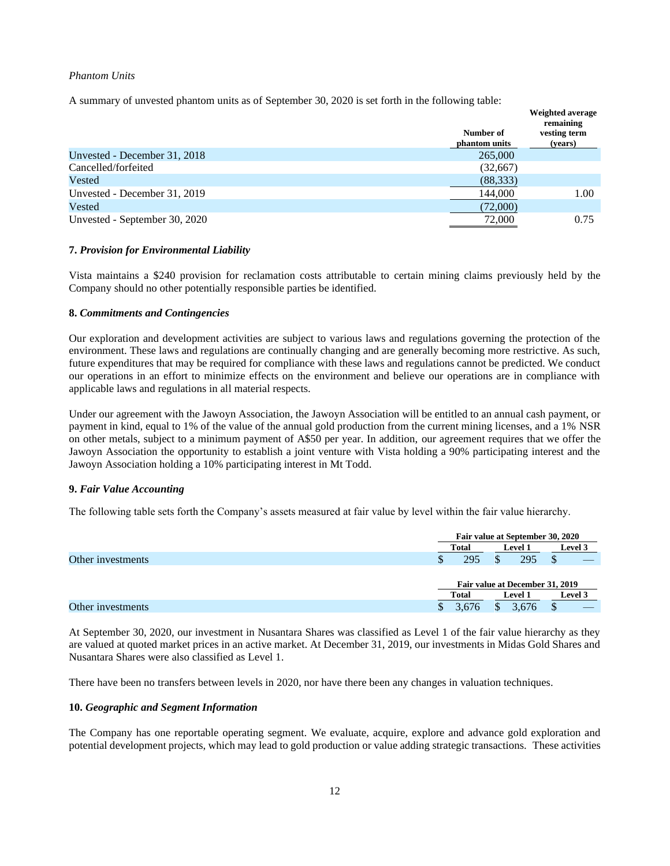### *Phantom Units*

A summary of unvested phantom units as of September 30, 2020 is set forth in the following table:

|                               |                            | <b>Weighted average</b><br>remaining |
|-------------------------------|----------------------------|--------------------------------------|
|                               | Number of<br>phantom units | vesting term<br>(years)              |
| Unvested - December 31, 2018  | 265,000                    |                                      |
| Cancelled/forfeited           | (32,667)                   |                                      |
| Vested                        | (88, 333)                  |                                      |
| Unvested - December 31, 2019  | 144,000                    | 1.00                                 |
| Vested                        | (72,000)                   |                                      |
| Unvested - September 30, 2020 | 72,000                     | 0.75                                 |

# **7.** *Provision for Environmental Liability*

Vista maintains a \$240 provision for reclamation costs attributable to certain mining claims previously held by the Company should no other potentially responsible parties be identified.

# **8.** *Commitments and Contingencies*

Our exploration and development activities are subject to various laws and regulations governing the protection of the environment. These laws and regulations are continually changing and are generally becoming more restrictive. As such, future expenditures that may be required for compliance with these laws and regulations cannot be predicted. We conduct our operations in an effort to minimize effects on the environment and believe our operations are in compliance with applicable laws and regulations in all material respects.

Under our agreement with the Jawoyn Association, the Jawoyn Association will be entitled to an annual cash payment, or payment in kind, equal to 1% of the value of the annual gold production from the current mining licenses, and a 1% NSR on other metals, subject to a minimum payment of A\$50 per year. In addition, our agreement requires that we offer the Jawoyn Association the opportunity to establish a joint venture with Vista holding a 90% participating interest and the Jawoyn Association holding a 10% participating interest in Mt Todd.

#### **9.** *Fair Value Accounting*

The following table sets forth the Company's assets measured at fair value by level within the fair value hierarchy.

|                   |       | Fair value at September 30, 2020 |                |  |         |  |  |
|-------------------|-------|----------------------------------|----------------|--|---------|--|--|
|                   | Total |                                  | <b>Level 1</b> |  | Level 3 |  |  |
| Other investments | J)    | 295                              | 295            |  |         |  |  |
|                   |       | Fair value at December 31, 2019  |                |  |         |  |  |
|                   |       | Total<br><b>Level 1</b>          |                |  | Level 3 |  |  |
| Other investments |       | .676                             | .676           |  |         |  |  |

At September 30, 2020, our investment in Nusantara Shares was classified as Level 1 of the fair value hierarchy as they are valued at quoted market prices in an active market. At December 31, 2019, our investments in Midas Gold Shares and Nusantara Shares were also classified as Level 1.

There have been no transfers between levels in 2020, nor have there been any changes in valuation techniques.

# **10.** *Geographic and Segment Information*

The Company has one reportable operating segment. We evaluate, acquire, explore and advance gold exploration and potential development projects, which may lead to gold production or value adding strategic transactions. These activities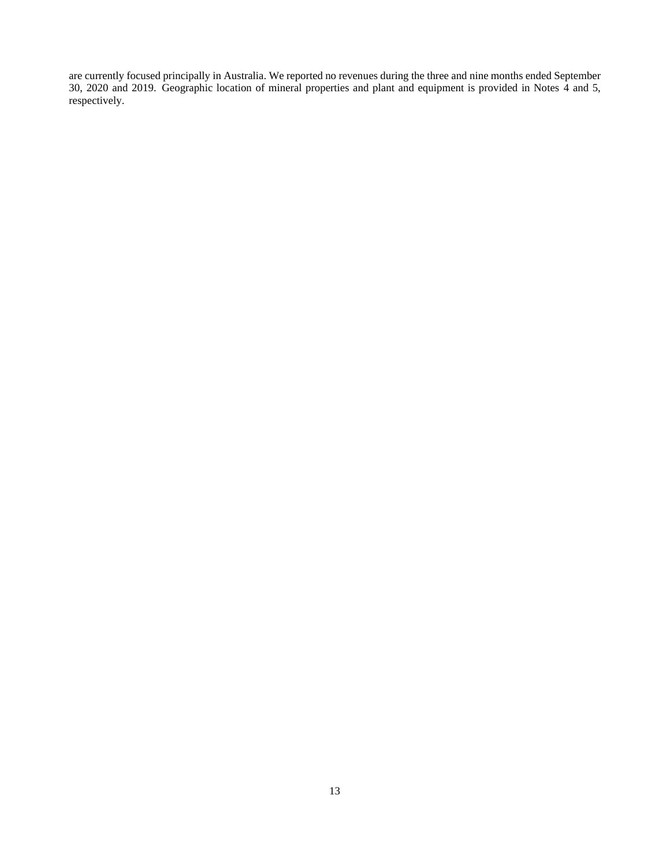are currently focused principally in Australia. We reported no revenues during the three and nine months ended September 30, 2020 and 2019. Geographic location of mineral properties and plant and equipment is provided in Notes 4 and 5, respectively.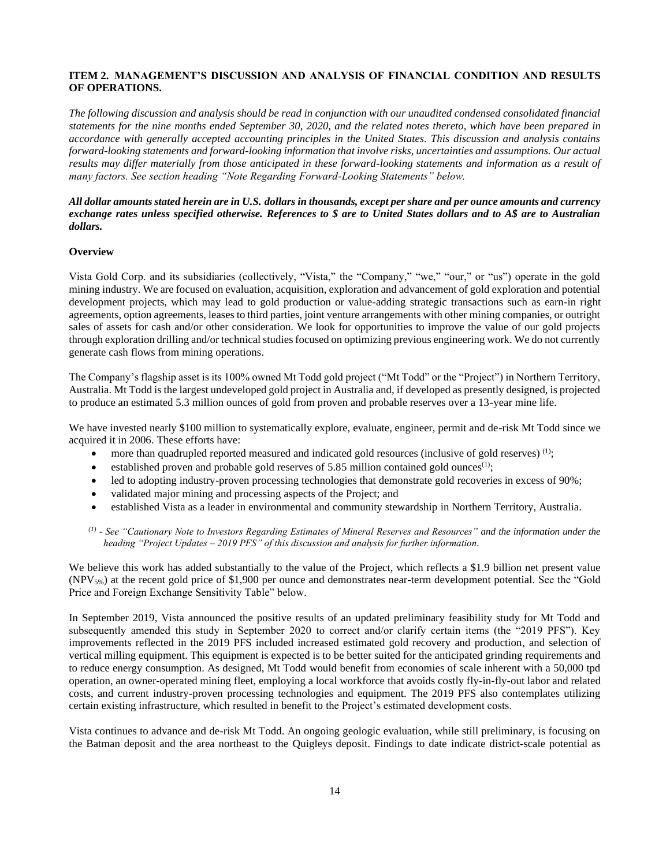# <span id="page-13-0"></span>**ITEM 2. MANAGEMENT'S DISCUSSION AND ANALYSIS OF FINANCIAL CONDITION AND RESULTS OF OPERATIONS.**

*The following discussion and analysis should be read in conjunction with our unaudited condensed consolidated financial statements for the nine months ended September 30, 2020, and the related notes thereto, which have been prepared in accordance with generally accepted accounting principles in the United States. This discussion and analysis contains forward-looking statements and forward-looking information that involve risks, uncertainties and assumptions. Our actual*  results may differ materially from those anticipated in these forward-looking statements and information as a result of *many factors. See section heading "Note Regarding Forward-Looking Statements" below.*

# *All dollar amounts stated herein are in U.S. dollars in thousands, except per share and per ounce amounts and currency exchange rates unless specified otherwise. References to \$ are to United States dollars and to A\$ are to Australian dollars.*

# **Overview**

Vista Gold Corp. and its subsidiaries (collectively, "Vista," the "Company," "we," "our," or "us") operate in the gold mining industry. We are focused on evaluation, acquisition, exploration and advancement of gold exploration and potential development projects, which may lead to gold production or value-adding strategic transactions such as earn-in right agreements, option agreements, leases to third parties, joint venture arrangements with other mining companies, or outright sales of assets for cash and/or other consideration. We look for opportunities to improve the value of our gold projects through exploration drilling and/or technical studies focused on optimizing previous engineering work. We do not currently generate cash flows from mining operations.

The Company's flagship asset is its 100% owned Mt Todd gold project ("Mt Todd" or the "Project") in Northern Territory, Australia. Mt Todd is the largest undeveloped gold project in Australia and, if developed as presently designed, is projected to produce an estimated 5.3 million ounces of gold from proven and probable reserves over a 13-year mine life.

We have invested nearly \$100 million to systematically explore, evaluate, engineer, permit and de-risk Mt Todd since we acquired it in 2006. These efforts have:

- more than quadrupled reported measured and indicated gold resources (inclusive of gold reserves)<sup>(1)</sup>;
- established proven and probable gold reserves of 5.85 million contained gold ounces<sup> $(1)$ </sup>;
- led to adopting industry-proven processing technologies that demonstrate gold recoveries in excess of 90%;
- validated major mining and processing aspects of the Project; and
- established Vista as a leader in environmental and community stewardship in Northern Territory, Australia.

*(1) - See "Cautionary Note to Investors Regarding Estimates of Mineral Reserves and Resources" and the information under the heading "Project Updates – 2019 PFS" of this discussion and analysis for further information.*

We believe this work has added substantially to the value of the Project, which reflects a \$1.9 billion net present value (NPV5%) at the recent gold price of \$1,900 per ounce and demonstrates near-term development potential. See the "Gold Price and Foreign Exchange Sensitivity Table" below.

In September 2019, Vista announced the positive results of an updated preliminary feasibility study for Mt Todd and subsequently amended this study in September 2020 to correct and/or clarify certain items (the "2019 PFS"). Key improvements reflected in the 2019 PFS included increased estimated gold recovery and production, and selection of vertical milling equipment. This equipment is expected is to be better suited for the anticipated grinding requirements and to reduce energy consumption. As designed, Mt Todd would benefit from economies of scale inherent with a 50,000 tpd operation, an owner-operated mining fleet, employing a local workforce that avoids costly fly-in-fly-out labor and related costs, and current industry-proven processing technologies and equipment. The 2019 PFS also contemplates utilizing certain existing infrastructure, which resulted in benefit to the Project's estimated development costs.

Vista continues to advance and de-risk Mt Todd. An ongoing geologic evaluation, while still preliminary, is focusing on the Batman deposit and the area northeast to the Quigleys deposit. Findings to date indicate district-scale potential as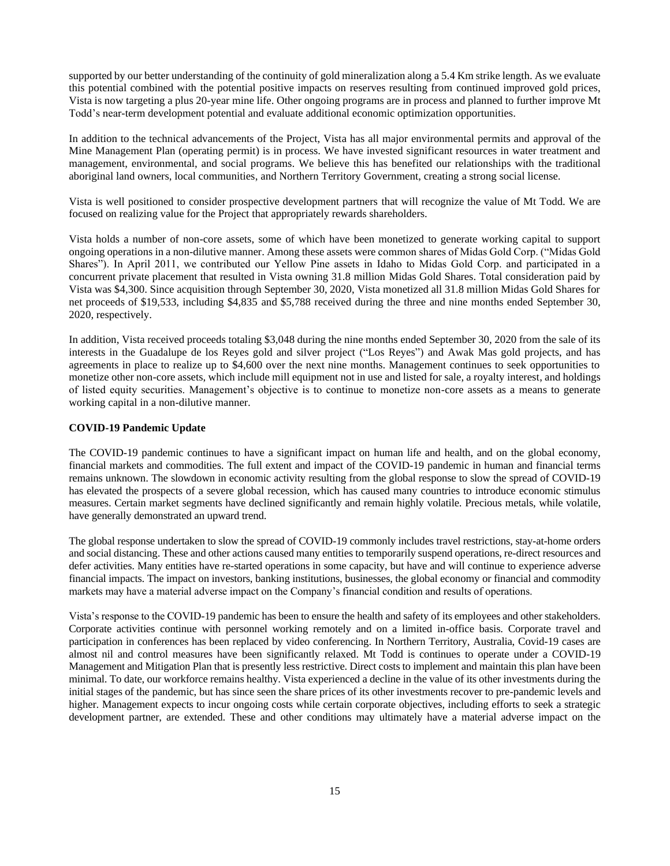supported by our better understanding of the continuity of gold mineralization along a 5.4 Km strike length. As we evaluate this potential combined with the potential positive impacts on reserves resulting from continued improved gold prices, Vista is now targeting a plus 20-year mine life. Other ongoing programs are in process and planned to further improve Mt Todd's near-term development potential and evaluate additional economic optimization opportunities.

In addition to the technical advancements of the Project, Vista has all major environmental permits and approval of the Mine Management Plan (operating permit) is in process. We have invested significant resources in water treatment and management, environmental, and social programs. We believe this has benefited our relationships with the traditional aboriginal land owners, local communities, and Northern Territory Government, creating a strong social license.

Vista is well positioned to consider prospective development partners that will recognize the value of Mt Todd. We are focused on realizing value for the Project that appropriately rewards shareholders.

Vista holds a number of non-core assets, some of which have been monetized to generate working capital to support ongoing operations in a non-dilutive manner. Among these assets were common shares of Midas Gold Corp. ("Midas Gold Shares"). In April 2011, we contributed our Yellow Pine assets in Idaho to Midas Gold Corp. and participated in a concurrent private placement that resulted in Vista owning 31.8 million Midas Gold Shares. Total consideration paid by Vista was \$4,300. Since acquisition through September 30, 2020, Vista monetized all 31.8 million Midas Gold Shares for net proceeds of \$19,533, including \$4,835 and \$5,788 received during the three and nine months ended September 30, 2020, respectively.

In addition, Vista received proceeds totaling \$3,048 during the nine months ended September 30, 2020 from the sale of its interests in the Guadalupe de los Reyes gold and silver project ("Los Reyes") and Awak Mas gold projects, and has agreements in place to realize up to \$4,600 over the next nine months. Management continues to seek opportunities to monetize other non-core assets, which include mill equipment not in use and listed for sale, a royalty interest, and holdings of listed equity securities. Management's objective is to continue to monetize non-core assets as a means to generate working capital in a non-dilutive manner.

# **COVID-19 Pandemic Update**

The COVID-19 pandemic continues to have a significant impact on human life and health, and on the global economy, financial markets and commodities. The full extent and impact of the COVID-19 pandemic in human and financial terms remains unknown. The slowdown in economic activity resulting from the global response to slow the spread of COVID-19 has elevated the prospects of a severe global recession, which has caused many countries to introduce economic stimulus measures. Certain market segments have declined significantly and remain highly volatile. Precious metals, while volatile, have generally demonstrated an upward trend.

The global response undertaken to slow the spread of COVID-19 commonly includes travel restrictions, stay-at-home orders and social distancing. These and other actions caused many entities to temporarily suspend operations, re-direct resources and defer activities. Many entities have re-started operations in some capacity, but have and will continue to experience adverse financial impacts. The impact on investors, banking institutions, businesses, the global economy or financial and commodity markets may have a material adverse impact on the Company's financial condition and results of operations.

Vista's response to the COVID-19 pandemic has been to ensure the health and safety of its employees and other stakeholders. Corporate activities continue with personnel working remotely and on a limited in-office basis. Corporate travel and participation in conferences has been replaced by video conferencing. In Northern Territory, Australia, Covid-19 cases are almost nil and control measures have been significantly relaxed. Mt Todd is continues to operate under a COVID-19 Management and Mitigation Plan that is presently less restrictive. Direct costs to implement and maintain this plan have been minimal. To date, our workforce remains healthy. Vista experienced a decline in the value of its other investments during the initial stages of the pandemic, but has since seen the share prices of its other investments recover to pre-pandemic levels and higher. Management expects to incur ongoing costs while certain corporate objectives, including efforts to seek a strategic development partner, are extended. These and other conditions may ultimately have a material adverse impact on the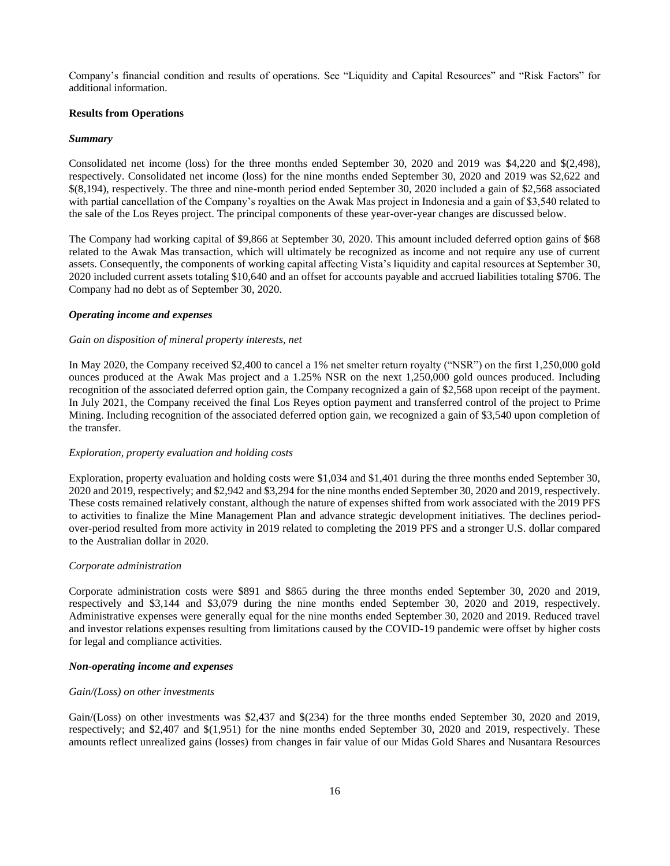Company's financial condition and results of operations. See "Liquidity and Capital Resources" and "Risk Factors" for additional information.

#### **Results from Operations**

#### *Summary*

Consolidated net income (loss) for the three months ended September 30, 2020 and 2019 was \$4,220 and \$(2,498), respectively. Consolidated net income (loss) for the nine months ended September 30, 2020 and 2019 was \$2,622 and \$(8,194), respectively. The three and nine-month period ended September 30, 2020 included a gain of \$2,568 associated with partial cancellation of the Company's royalties on the Awak Mas project in Indonesia and a gain of \$3,540 related to the sale of the Los Reyes project. The principal components of these year-over-year changes are discussed below.

The Company had working capital of \$9,866 at September 30, 2020. This amount included deferred option gains of \$68 related to the Awak Mas transaction, which will ultimately be recognized as income and not require any use of current assets. Consequently, the components of working capital affecting Vista's liquidity and capital resources at September 30, 2020 included current assets totaling \$10,640 and an offset for accounts payable and accrued liabilities totaling \$706. The Company had no debt as of September 30, 2020.

#### *Operating income and expenses*

#### *Gain on disposition of mineral property interests, net*

In May 2020, the Company received \$2,400 to cancel a 1% net smelter return royalty ("NSR") on the first 1,250,000 gold ounces produced at the Awak Mas project and a 1.25% NSR on the next 1,250,000 gold ounces produced. Including recognition of the associated deferred option gain, the Company recognized a gain of \$2,568 upon receipt of the payment. In July 2021, the Company received the final Los Reyes option payment and transferred control of the project to Prime Mining. Including recognition of the associated deferred option gain, we recognized a gain of \$3,540 upon completion of the transfer.

#### *Exploration, property evaluation and holding costs*

Exploration, property evaluation and holding costs were \$1,034 and \$1,401 during the three months ended September 30, 2020 and 2019, respectively; and \$2,942 and \$3,294 for the nine months ended September 30, 2020 and 2019, respectively. These costs remained relatively constant, although the nature of expenses shifted from work associated with the 2019 PFS to activities to finalize the Mine Management Plan and advance strategic development initiatives. The declines periodover-period resulted from more activity in 2019 related to completing the 2019 PFS and a stronger U.S. dollar compared to the Australian dollar in 2020.

### *Corporate administration*

Corporate administration costs were \$891 and \$865 during the three months ended September 30, 2020 and 2019, respectively and \$3,144 and \$3,079 during the nine months ended September 30, 2020 and 2019, respectively. Administrative expenses were generally equal for the nine months ended September 30, 2020 and 2019. Reduced travel and investor relations expenses resulting from limitations caused by the COVID-19 pandemic were offset by higher costs for legal and compliance activities.

## *Non-operating income and expenses*

#### *Gain/(Loss) on other investments*

Gain/(Loss) on other investments was \$2,437 and \$(234) for the three months ended September 30, 2020 and 2019, respectively; and \$2,407 and \$(1,951) for the nine months ended September 30, 2020 and 2019, respectively. These amounts reflect unrealized gains (losses) from changes in fair value of our Midas Gold Shares and Nusantara Resources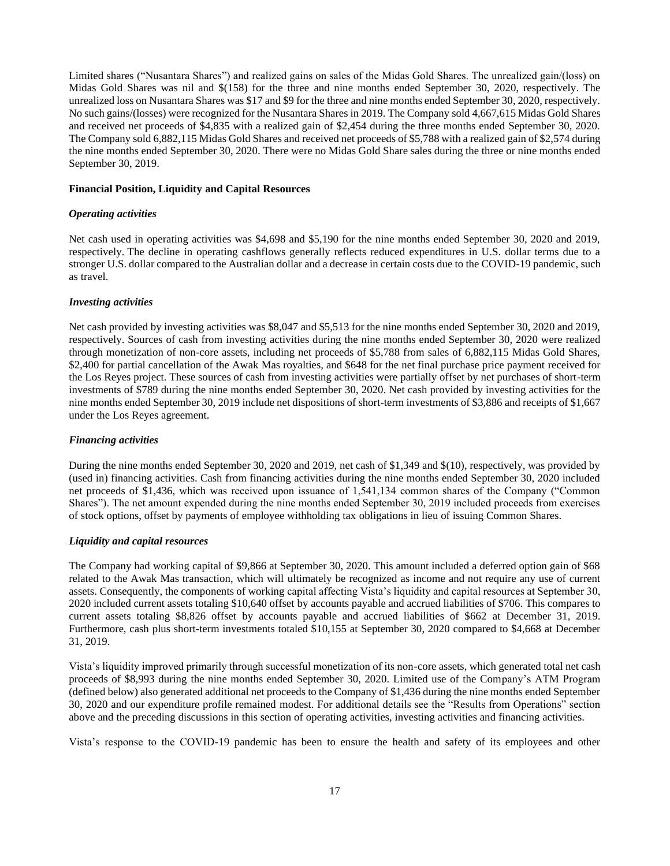Limited shares ("Nusantara Shares") and realized gains on sales of the Midas Gold Shares. The unrealized gain/(loss) on Midas Gold Shares was nil and \$(158) for the three and nine months ended September 30, 2020, respectively. The unrealized loss on Nusantara Shares was \$17 and \$9 for the three and nine months ended September 30, 2020, respectively. No such gains/(losses) were recognized for the Nusantara Shares in 2019. The Company sold 4,667,615 Midas Gold Shares and received net proceeds of \$4,835 with a realized gain of \$2,454 during the three months ended September 30, 2020. The Company sold 6,882,115 Midas Gold Shares and received net proceeds of \$5,788 with a realized gain of \$2,574 during the nine months ended September 30, 2020. There were no Midas Gold Share sales during the three or nine months ended September 30, 2019.

#### **Financial Position, Liquidity and Capital Resources**

# *Operating activities*

Net cash used in operating activities was \$4,698 and \$5,190 for the nine months ended September 30, 2020 and 2019, respectively. The decline in operating cashflows generally reflects reduced expenditures in U.S. dollar terms due to a stronger U.S. dollar compared to the Australian dollar and a decrease in certain costs due to the COVID-19 pandemic, such as travel.

#### *Investing activities*

Net cash provided by investing activities was \$8,047 and \$5,513 for the nine months ended September 30, 2020 and 2019, respectively. Sources of cash from investing activities during the nine months ended September 30, 2020 were realized through monetization of non-core assets, including net proceeds of \$5,788 from sales of 6,882,115 Midas Gold Shares, \$2,400 for partial cancellation of the Awak Mas royalties, and \$648 for the net final purchase price payment received for the Los Reyes project. These sources of cash from investing activities were partially offset by net purchases of short-term investments of \$789 during the nine months ended September 30, 2020. Net cash provided by investing activities for the nine months ended September 30, 2019 include net dispositions of short-term investments of \$3,886 and receipts of \$1,667 under the Los Reyes agreement.

#### *Financing activities*

During the nine months ended September 30, 2020 and 2019, net cash of \$1,349 and \$(10), respectively, was provided by (used in) financing activities. Cash from financing activities during the nine months ended September 30, 2020 included net proceeds of \$1,436, which was received upon issuance of 1,541,134 common shares of the Company ("Common Shares"). The net amount expended during the nine months ended September 30, 2019 included proceeds from exercises of stock options, offset by payments of employee withholding tax obligations in lieu of issuing Common Shares.

### *Liquidity and capital resources*

The Company had working capital of \$9,866 at September 30, 2020. This amount included a deferred option gain of \$68 related to the Awak Mas transaction, which will ultimately be recognized as income and not require any use of current assets. Consequently, the components of working capital affecting Vista's liquidity and capital resources at September 30, 2020 included current assets totaling \$10,640 offset by accounts payable and accrued liabilities of \$706. This compares to current assets totaling \$8,826 offset by accounts payable and accrued liabilities of \$662 at December 31, 2019. Furthermore, cash plus short-term investments totaled \$10,155 at September 30, 2020 compared to \$4,668 at December 31, 2019.

Vista's liquidity improved primarily through successful monetization of its non-core assets, which generated total net cash proceeds of \$8,993 during the nine months ended September 30, 2020. Limited use of the Company's ATM Program (defined below) also generated additional net proceeds to the Company of \$1,436 during the nine months ended September 30, 2020 and our expenditure profile remained modest. For additional details see the "Results from Operations" section above and the preceding discussions in this section of operating activities, investing activities and financing activities.

Vista's response to the COVID-19 pandemic has been to ensure the health and safety of its employees and other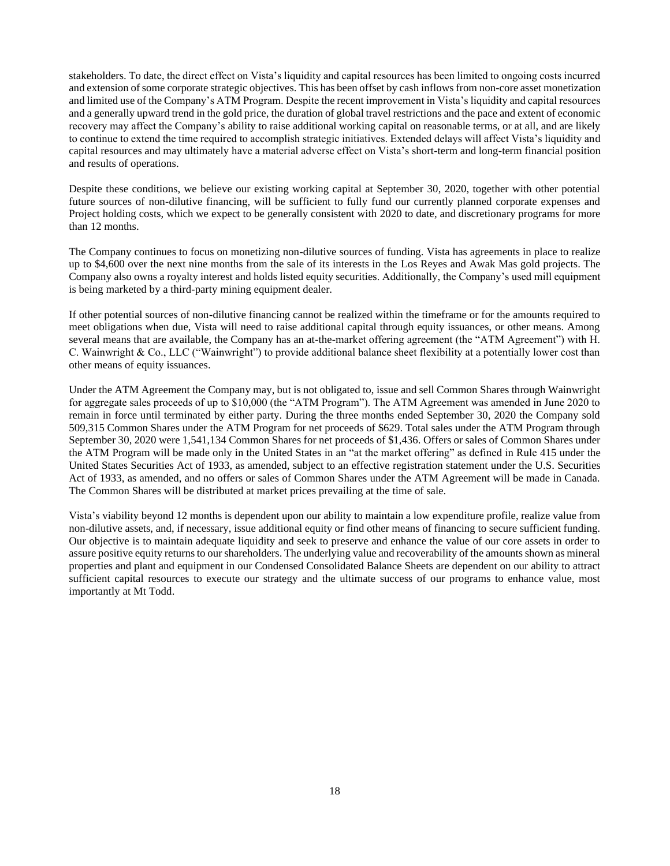stakeholders. To date, the direct effect on Vista's liquidity and capital resources has been limited to ongoing costs incurred and extension of some corporate strategic objectives. This has been offset by cash inflows from non-core asset monetization and limited use of the Company's ATM Program. Despite the recent improvement in Vista's liquidity and capital resources and a generally upward trend in the gold price, the duration of global travel restrictions and the pace and extent of economic recovery may affect the Company's ability to raise additional working capital on reasonable terms, or at all, and are likely to continue to extend the time required to accomplish strategic initiatives. Extended delays will affect Vista's liquidity and capital resources and may ultimately have a material adverse effect on Vista's short-term and long-term financial position and results of operations.

Despite these conditions, we believe our existing working capital at September 30, 2020, together with other potential future sources of non-dilutive financing, will be sufficient to fully fund our currently planned corporate expenses and Project holding costs, which we expect to be generally consistent with 2020 to date, and discretionary programs for more than 12 months.

The Company continues to focus on monetizing non-dilutive sources of funding. Vista has agreements in place to realize up to \$4,600 over the next nine months from the sale of its interests in the Los Reyes and Awak Mas gold projects. The Company also owns a royalty interest and holds listed equity securities. Additionally, the Company's used mill equipment is being marketed by a third-party mining equipment dealer.

If other potential sources of non-dilutive financing cannot be realized within the timeframe or for the amounts required to meet obligations when due, Vista will need to raise additional capital through equity issuances, or other means. Among several means that are available, the Company has an at-the-market offering agreement (the "ATM Agreement") with H. C. Wainwright & Co., LLC ("Wainwright") to provide additional balance sheet flexibility at a potentially lower cost than other means of equity issuances.

Under the ATM Agreement the Company may, but is not obligated to, issue and sell Common Shares through Wainwright for aggregate sales proceeds of up to \$10,000 (the "ATM Program"). The ATM Agreement was amended in June 2020 to remain in force until terminated by either party. During the three months ended September 30, 2020 the Company sold 509,315 Common Shares under the ATM Program for net proceeds of \$629. Total sales under the ATM Program through September 30, 2020 were 1,541,134 Common Shares for net proceeds of \$1,436. Offers or sales of Common Shares under the ATM Program will be made only in the United States in an "at the market offering" as defined in Rule 415 under the United States Securities Act of 1933, as amended, subject to an effective registration statement under the U.S. Securities Act of 1933, as amended, and no offers or sales of Common Shares under the ATM Agreement will be made in Canada. The Common Shares will be distributed at market prices prevailing at the time of sale.

Vista's viability beyond 12 months is dependent upon our ability to maintain a low expenditure profile, realize value from non-dilutive assets, and, if necessary, issue additional equity or find other means of financing to secure sufficient funding. Our objective is to maintain adequate liquidity and seek to preserve and enhance the value of our core assets in order to assure positive equity returns to our shareholders. The underlying value and recoverability of the amounts shown as mineral properties and plant and equipment in our Condensed Consolidated Balance Sheets are dependent on our ability to attract sufficient capital resources to execute our strategy and the ultimate success of our programs to enhance value, most importantly at Mt Todd.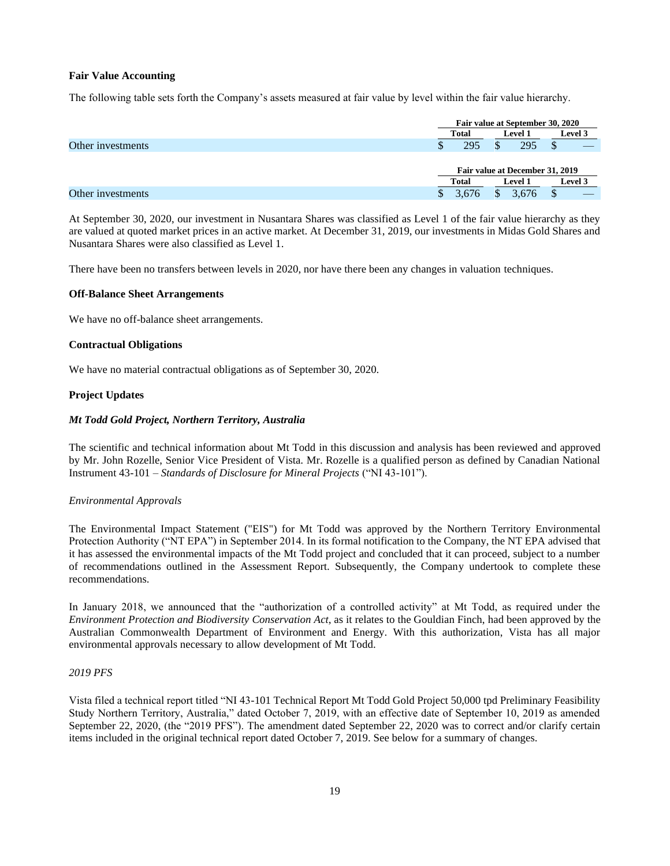# **Fair Value Accounting**

The following table sets forth the Company's assets measured at fair value by level within the fair value hierarchy.

|                   |              | Fair value at September 30, 2020 |         |  |  |  |
|-------------------|--------------|----------------------------------|---------|--|--|--|
|                   | <b>Total</b> | <b>Level 1</b>                   | Level 3 |  |  |  |
| Other investments | 295<br>Φ     | ₼<br>295                         |         |  |  |  |
|                   |              | Fair value at December 31, 2019  |         |  |  |  |
|                   | Total        | <b>Level 1</b>                   | Level 3 |  |  |  |
| Other investments | .676         | 3.676<br>.ъ                      |         |  |  |  |

At September 30, 2020, our investment in Nusantara Shares was classified as Level 1 of the fair value hierarchy as they are valued at quoted market prices in an active market. At December 31, 2019, our investments in Midas Gold Shares and Nusantara Shares were also classified as Level 1.

There have been no transfers between levels in 2020, nor have there been any changes in valuation techniques.

#### **Off-Balance Sheet Arrangements**

We have no off-balance sheet arrangements.

# **Contractual Obligations**

We have no material contractual obligations as of September 30, 2020.

# **Project Updates**

# *Mt Todd Gold Project, Northern Territory, Australia*

The scientific and technical information about Mt Todd in this discussion and analysis has been reviewed and approved by Mr. John Rozelle, Senior Vice President of Vista. Mr. Rozelle is a qualified person as defined by Canadian National Instrument 43-101 – *Standards of Disclosure for Mineral Projects* ("NI 43-101").

# *Environmental Approvals*

The Environmental Impact Statement ("EIS") for Mt Todd was approved by the Northern Territory Environmental Protection Authority ("NT EPA") in September 2014. In its formal notification to the Company, the NT EPA advised that it has assessed the environmental impacts of the Mt Todd project and concluded that it can proceed, subject to a number of recommendations outlined in the Assessment Report. Subsequently, the Company undertook to complete these recommendations.

In January 2018, we announced that the "authorization of a controlled activity" at Mt Todd, as required under the *Environment Protection and Biodiversity Conservation Act*, as it relates to the Gouldian Finch, had been approved by the Australian Commonwealth Department of Environment and Energy. With this authorization, Vista has all major environmental approvals necessary to allow development of Mt Todd.

# *2019 PFS*

Vista filed a technical report titled "NI 43-101 Technical Report Mt Todd Gold Project 50,000 tpd Preliminary Feasibility Study Northern Territory, Australia," dated October 7, 2019, with an effective date of September 10, 2019 as amended September 22, 2020, (the "2019 PFS"). The amendment dated September 22, 2020 was to correct and/or clarify certain items included in the original technical report dated October 7, 2019. See below for a summary of changes.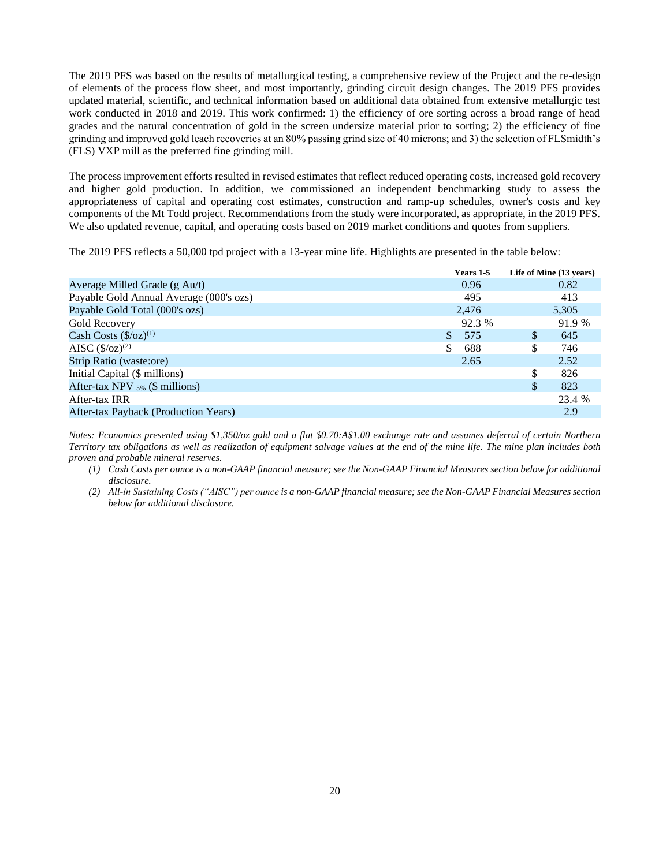The 2019 PFS was based on the results of metallurgical testing, a comprehensive review of the Project and the re-design of elements of the process flow sheet, and most importantly, grinding circuit design changes. The 2019 PFS provides updated material, scientific, and technical information based on additional data obtained from extensive metallurgic test work conducted in 2018 and 2019. This work confirmed: 1) the efficiency of ore sorting across a broad range of head grades and the natural concentration of gold in the screen undersize material prior to sorting; 2) the efficiency of fine grinding and improved gold leach recoveries at an 80% passing grind size of 40 microns; and 3) the selection of FLSmidth's (FLS) VXP mill as the preferred fine grinding mill.

The process improvement efforts resulted in revised estimates that reflect reduced operating costs, increased gold recovery and higher gold production. In addition, we commissioned an independent benchmarking study to assess the appropriateness of capital and operating cost estimates, construction and ramp-up schedules, owner's costs and key components of the Mt Todd project. Recommendations from the study were incorporated, as appropriate, in the 2019 PFS. We also updated revenue, capital, and operating costs based on 2019 market conditions and quotes from suppliers.

The 2019 PFS reflects a 50,000 tpd project with a 13-year mine life. Highlights are presented in the table below:

|                                         | Years 1-5 |    | Life of Mine (13 years) |
|-----------------------------------------|-----------|----|-------------------------|
| Average Milled Grade (g Au/t)           | 0.96      |    | 0.82                    |
| Payable Gold Annual Average (000's ozs) | 495       |    | 413                     |
| Payable Gold Total (000's ozs)          | 2,476     |    | 5,305                   |
| Gold Recovery                           | 92.3 %    |    | 91.9 %                  |
| Cash Costs $(\frac{6}{2})^{(1)}$        | \$<br>575 | \$ | 645                     |
| AISC $(\frac{5}{2})^{(2)}$              | S<br>688  | S  | 746                     |
| Strip Ratio (waste:ore)                 | 2.65      |    | 2.52                    |
| Initial Capital (\$ millions)           |           | \$ | 826                     |
| After-tax NPV $_{5\%}$ (\$ millions)    |           | \$ | 823                     |
| After-tax IRR                           |           |    | 23.4 %                  |
| After-tax Payback (Production Years)    |           |    | 2.9                     |

*Notes: Economics presented using \$1,350/oz gold and a flat \$0.70:A\$1.00 exchange rate and assumes deferral of certain Northern Territory tax obligations as well as realization of equipment salvage values at the end of the mine life. The mine plan includes both proven and probable mineral reserves.* 

- *(1) Cash Costs per ounce is a non-GAAP financial measure; see the Non-GAAP Financial Measures section below for additional disclosure.*
- *(2) All-in Sustaining Costs ("AISC") per ounce is a non-GAAP financial measure; see the Non-GAAP Financial Measures section below for additional disclosure.*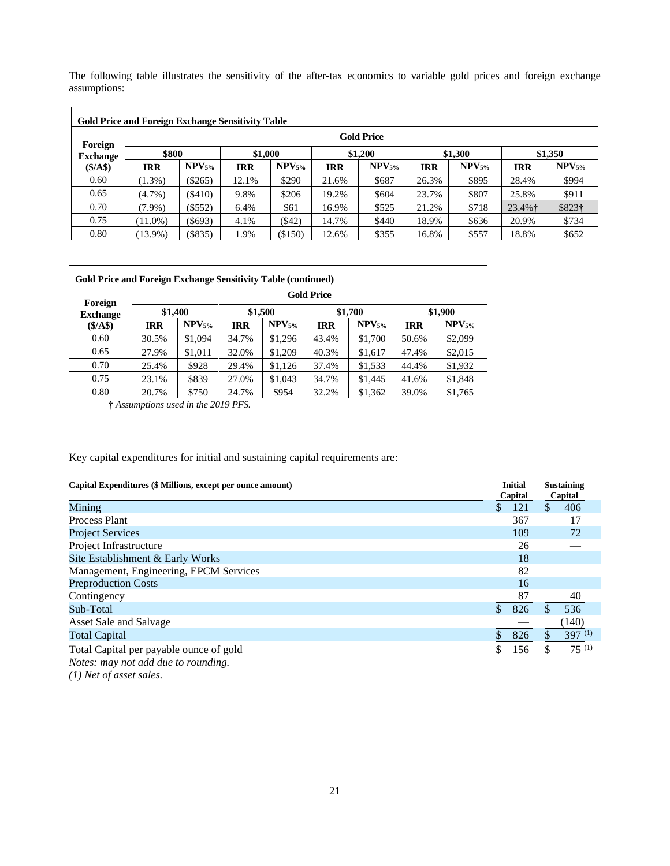The following table illustrates the sensitivity of the after-tax economics to variable gold prices and foreign exchange assumptions:

| <b>Gold Price and Foreign Exchange Sensitivity Table</b> |                   |             |            |                   |            |                   |            |             |            |                   |
|----------------------------------------------------------|-------------------|-------------|------------|-------------------|------------|-------------------|------------|-------------|------------|-------------------|
| Foreign                                                  | <b>Gold Price</b> |             |            |                   |            |                   |            |             |            |                   |
| <b>Exchange</b>                                          | \$800             |             |            | \$1,000           |            | \$1,200           |            | \$1,300     |            | \$1,350           |
| (S/AS)                                                   | IRR               | $NPV_{5\%}$ | <b>IRR</b> | NPV <sub>5%</sub> | <b>IRR</b> | NPV <sub>5%</sub> | <b>IRR</b> | $NPV_{5\%}$ | <b>IRR</b> | NPV <sub>5%</sub> |
| 0.60                                                     | $(1.3\%)$         | $(\$265)$   | 12.1%      | \$290             | 21.6%      | \$687             | 26.3%      | \$895       | 28.4%      | \$994             |
| 0.65                                                     | $(4.7\%)$         | $($ \$410)  | 9.8%       | \$206             | 19.2%      | \$604             | 23.7%      | \$807       | 25.8%      | \$911             |
| 0.70                                                     | $(7.9\%)$         | $($ \$552)  | 6.4%       | \$61              | 16.9%      | \$525             | 21.2%      | \$718       | $23.4\%$ † | \$823†            |
| 0.75                                                     | $(11.0\%)$        | $($ \$693)  | 4.1%       | ( \$42)           | 14.7%      | \$440             | 18.9%      | \$636       | 20.9%      | \$734             |
| 0.80                                                     | $13.9\%)$         | (S835)      | 1.9%       | $(\$150)$         | 12.6%      | \$355             | 16.8%      | \$557       | 18.8%      | \$652             |

| Foreign         |            |             |            |                   | <b>Gold Price</b> |                   |            |                   |  |
|-----------------|------------|-------------|------------|-------------------|-------------------|-------------------|------------|-------------------|--|
| <b>Exchange</b> |            | \$1,400     |            | \$1,500           |                   | \$1,700           |            | \$1,900           |  |
| (S/AS)          | <b>IRR</b> | $NPV_{5\%}$ | <b>IRR</b> | NPV <sub>5%</sub> | <b>IRR</b>        | NPV <sub>5%</sub> | <b>IRR</b> | NPV <sub>5%</sub> |  |
| 0.60            | 30.5%      | \$1,094     | 34.7%      | \$1,296           | 43.4%             | \$1,700           | 50.6%      | \$2,099           |  |
| 0.65            | 27.9%      | \$1,011     | 32.0%      | \$1,209           | 40.3%             | \$1,617           | 47.4%      | \$2,015           |  |
| 0.70            | 25.4%      | \$928       | 29.4%      | \$1,126           | 37.4%             | \$1,533           | 44.4%      | \$1,932           |  |
| 0.75            | 23.1%      | \$839       | 27.0%      | \$1,043           | 34.7%             | \$1,445           | 41.6%      | \$1,848           |  |
| 0.80            | 20.7%      | \$750       | 24.7%      | \$954             | 32.2%             | \$1,362           | 39.0%      | \$1,765           |  |

† *Assumptions used in the 2019 PFS.*

Key capital expenditures for initial and sustaining capital requirements are:

| Capital Expenditures (\$ Millions, except per ounce amount)                    |    | <b>Initial</b><br>Capital | <b>Sustaining</b><br>Capital |
|--------------------------------------------------------------------------------|----|---------------------------|------------------------------|
| Mining                                                                         | \$ | 121                       | \$<br>406                    |
| Process Plant                                                                  |    | 367                       | 17                           |
| <b>Project Services</b>                                                        |    | 109                       | 72                           |
| Project Infrastructure                                                         |    | 26                        |                              |
| Site Establishment & Early Works                                               |    | 18                        |                              |
| Management, Engineering, EPCM Services                                         |    | 82                        |                              |
| <b>Preproduction Costs</b>                                                     |    | 16                        |                              |
| Contingency                                                                    |    | 87                        | 40                           |
| Sub-Total                                                                      | \$ | 826                       | 536                          |
| Asset Sale and Salvage                                                         |    |                           | (140)                        |
| <b>Total Capital</b>                                                           |    | 826                       | $397^{(1)}$                  |
| Total Capital per payable ounce of gold<br>Notes: may not add due to rounding. | Φ  | 156                       | \$<br>$75^{(1)}$             |

*(1) Net of asset sales.*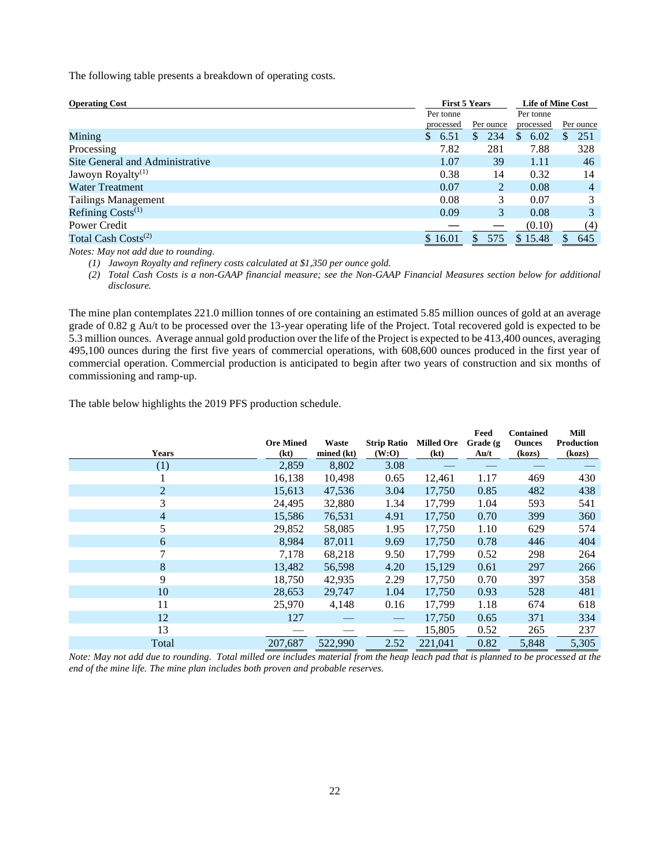The following table presents a breakdown of operating costs.

| <b>Operating Cost</b>           |            | <b>First 5 Years</b> |             |           |  |  |
|---------------------------------|------------|----------------------|-------------|-----------|--|--|
|                                 | Per tonne  |                      | Per tonne   |           |  |  |
|                                 | processed  | Per ounce            | processed   | Per ounce |  |  |
| Mining                          | 6.51<br>S. | 234<br>S.            | 6.02<br>\$. | 251<br>S. |  |  |
| Processing                      | 7.82       | 281                  | 7.88        | 328       |  |  |
| Site General and Administrative | 1.07       | 39                   | 1.11        | 46        |  |  |
| Jawoyn Royalty <sup>(1)</sup>   | 0.38       | 14                   | 0.32        | 14        |  |  |
| Water Treatment                 | 0.07       | $\mathfrak{D}$       | 0.08        | 4         |  |  |
| <b>Tailings Management</b>      | 0.08       | 3                    | 0.07        | 3         |  |  |
| Refining $Costs^{(1)}$          | 0.09       | 3                    | 0.08        |           |  |  |
| Power Credit                    |            |                      | (0.10)      | (4)       |  |  |
| Total Cash Costs <sup>(2)</sup> | \$16.01    | 575<br>\$            | \$15.48     | 645       |  |  |
| .                               |            |                      |             |           |  |  |

*Notes: May not add due to rounding.* 

*(1) Jawoyn Royalty and refinery costs calculated at \$1,350 per ounce gold.* 

*(2) Total Cash Costs is a non-GAAP financial measure; see the Non-GAAP Financial Measures section below for additional disclosure.*

The mine plan contemplates 221.0 million tonnes of ore containing an estimated 5.85 million ounces of gold at an average grade of 0.82 g Au/t to be processed over the 13-year operating life of the Project. Total recovered gold is expected to be 5.3 million ounces. Average annual gold production over the life of the Project is expected to be 413,400 ounces, averaging 495,100 ounces during the first five years of commercial operations, with 608,600 ounces produced in the first year of commercial operation. Commercial production is anticipated to begin after two years of construction and six months of commissioning and ramp-up.

The table below highlights the 2019 PFS production schedule.

|                | <b>Ore Mined</b> | Waste      | <b>Strip Ratio</b> | <b>Milled Ore</b> | Feed<br>Grade (g)                  | <b>Contained</b><br><b>Ounces</b> | Mill<br><b>Production</b> |
|----------------|------------------|------------|--------------------|-------------------|------------------------------------|-----------------------------------|---------------------------|
| <b>Years</b>   | (kt)             | mined (kt) | (W:O)              | (kt)              | $\mathbf{A} \mathbf{u}/\mathbf{t}$ | (kozs)                            | (kozs)                    |
| (1)            | 2,859            | 8,802      | 3.08               |                   |                                    |                                   |                           |
|                | 16,138           | 10,498     | 0.65               | 12,461            | 1.17                               | 469                               | 430                       |
| $\overline{2}$ | 15,613           | 47,536     | 3.04               | 17,750            | 0.85                               | 482                               | 438                       |
| 3              | 24,495           | 32,880     | 1.34               | 17,799            | 1.04                               | 593                               | 541                       |
| 4              | 15,586           | 76,531     | 4.91               | 17,750            | 0.70                               | 399                               | 360                       |
| 5              | 29,852           | 58,085     | 1.95               | 17,750            | 1.10                               | 629                               | 574                       |
| 6              | 8,984            | 87,011     | 9.69               | 17,750            | 0.78                               | 446                               | 404                       |
| 7              | 7,178            | 68,218     | 9.50               | 17,799            | 0.52                               | 298                               | 264                       |
| 8              | 13,482           | 56,598     | 4.20               | 15,129            | 0.61                               | 297                               | 266                       |
| 9              | 18,750           | 42,935     | 2.29               | 17,750            | 0.70                               | 397                               | 358                       |
| 10             | 28,653           | 29,747     | 1.04               | 17,750            | 0.93                               | 528                               | 481                       |
| 11             | 25,970           | 4,148      | 0.16               | 17,799            | 1.18                               | 674                               | 618                       |
| 12             | 127              |            |                    | 17,750            | 0.65                               | 371                               | 334                       |
| 13             |                  |            |                    | 15,805            | 0.52                               | 265                               | 237                       |
| Total          | 207,687          | 522,990    | 2.52               | 221,041           | 0.82                               | 5,848                             | 5,305                     |

*Note: May not add due to rounding. Total milled ore includes material from the heap leach pad that is planned to be processed at the end of the mine life. The mine plan includes both proven and probable reserves.*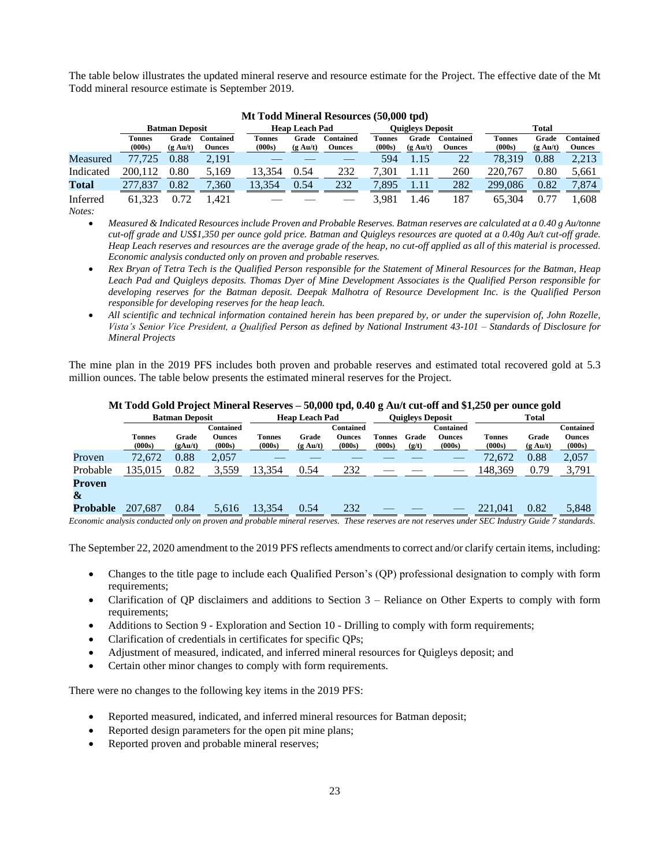The table below illustrates the updated mineral reserve and resource estimate for the Project. The effective date of the Mt Todd mineral resource estimate is September 2019.

|           |                  |                             |                            | $1010$ Tour Minicral Resources (50,000 tpu) |                             |                            |                         |                             |                                   |                         |                             |                            |  |  |
|-----------|------------------|-----------------------------|----------------------------|---------------------------------------------|-----------------------------|----------------------------|-------------------------|-----------------------------|-----------------------------------|-------------------------|-----------------------------|----------------------------|--|--|
|           |                  | <b>Batman Deposit</b>       |                            |                                             | <b>Heap Leach Pad</b>       |                            |                         |                             | <b>Ouigleys Deposit</b>           |                         |                             | <b>Total</b>               |  |  |
|           | Tonnes<br>(000s) | Grade<br>$(g \text{ Au}/t)$ | Contained<br><b>Ounces</b> | l`onnes<br>(000s)                           | Grade<br>$(g \text{ Au}/t)$ | <b>Contained</b><br>Ounces | <b>Tonnes</b><br>(000s) | Grade<br>$(g \text{ Au}/t)$ | <b>Contained</b><br><b>Ounces</b> | <b>Tonnes</b><br>(000s) | Grade<br>$(g \text{ Au}/t)$ | <b>Contained</b><br>Ounces |  |  |
| Measured  | 77.725           | $0.88\,$                    | 2,191                      |                                             |                             |                            | 594                     |                             | 22                                | 78.319                  | 0.88                        | 2,213                      |  |  |
| Indicated | 200.112          | ${0.80}$                    | 5,169                      | 13.354                                      | 0.54                        | 232                        | 7.301                   |                             | 260                               | 220,767                 | 0.80                        | 5,661                      |  |  |
| Total     | .837             | 0.82                        | 7.360                      | 13.354                                      | 0.54                        | 232                        | 7.895                   |                             | 282                               | 299.086                 | 0.82                        | 7.874                      |  |  |
| Inferred  | 61.323           | ).72                        | .421                       |                                             |                             |                            | 3.981                   | .46                         | 187                               | 65.304                  |                             | .608                       |  |  |

# **Mt Todd Mineral Resources (50,000 tpd)**

*Notes:*

• *Measured & Indicated Resources include Proven and Probable Reserves. Batman reserves are calculated at a 0.40 g Au/tonne cut-off grade and US\$1,350 per ounce gold price. Batman and Quigleys resources are quoted at a 0.40g Au/t cut-off grade. Heap Leach reserves and resources are the average grade of the heap, no cut-off applied as all of this material is processed. Economic analysis conducted only on proven and probable reserves.* 

- *Rex Bryan of Tetra Tech is the Qualified Person responsible for the Statement of Mineral Resources for the Batman, Heap Leach Pad and Quigleys deposits. Thomas Dyer of Mine Development Associates is the Qualified Person responsible for developing reserves for the Batman deposit. Deepak Malhotra of Resource Development Inc. is the Qualified Person responsible for developing reserves for the heap leach.*
- *All scientific and technical information contained herein has been prepared by, or under the supervision of, John Rozelle, Vista's Senior Vice President, a Qualified Person as defined by National Instrument 43-101 – Standards of Disclosure for Mineral Projects*

The mine plan in the 2019 PFS includes both proven and probable reserves and estimated total recovered gold at 5.3 million ounces. The table below presents the estimated mineral reserves for the Project.

|                          |                         | <b>Batman Deposit</b> |                                      |                  | <b>Heap Leach Pad</b>       |                                      |                         | <b>Ouigleys Deposit</b> |                                             |                            | <b>Total</b>                |                                      |
|--------------------------|-------------------------|-----------------------|--------------------------------------|------------------|-----------------------------|--------------------------------------|-------------------------|-------------------------|---------------------------------------------|----------------------------|-----------------------------|--------------------------------------|
|                          | <b>Tonnes</b><br>(000s) | Grade<br>(gAu/t)      | Contained<br><b>Ounces</b><br>(000s) | Tonnes<br>(000s) | Grade<br>$(g \text{ Au}/t)$ | Contained<br><b>Ounces</b><br>(000s) | <b>Tonnes</b><br>(000s) | Grade<br>(g/t)          | <b>Contained</b><br><b>Ounces</b><br>(000s) | <b>Tonnes</b><br>(000s)    | Grade<br>$(g \text{ Au}/t)$ | Contained<br><b>Ounces</b><br>(000s) |
| Proven                   | 72.672                  | 0.88                  | 2,057                                |                  |                             |                                      |                         |                         |                                             | 72,672                     | 0.88                        | 2,057                                |
| Probable                 | 35,015                  | 0.82                  | 3,559                                | 13,354           | 0.54                        | 232                                  |                         |                         |                                             | 148,369                    | 0.79                        | 3,791                                |
| Proven                   |                         |                       |                                      |                  |                             |                                      |                         |                         |                                             |                            |                             |                                      |
| &                        |                         |                       |                                      |                  |                             |                                      |                         |                         |                                             |                            |                             |                                      |
| <b>Probable</b>          | 207,687                 | 0.84                  | 5,616                                | 13,354           | 0.54                        | 232                                  |                         |                         |                                             | 221,041                    | 0.82                        | 5,848                                |
| $\overline{\phantom{a}}$ | .                       | $\sim$                |                                      | $\cdots$         |                             | $-1$                                 |                         |                         |                                             | $\alpha - \alpha$ $\alpha$ | $\sim\cdot\cdot$ $\sim$     |                                      |

# **Mt Todd Gold Project Mineral Reserves – 50,000 tpd, 0.40 g Au/t cut-off and \$1,250 per ounce gold**

*Economic analysis conducted only on proven and probable mineral reserves. These reserves are not reserves under SEC Industry Guide 7 standards.*

The September 22, 2020 amendment to the 2019 PFS reflects amendments to correct and/or clarify certain items, including:

- Changes to the title page to include each Qualified Person's (QP) professional designation to comply with form requirements;
- Clarification of QP disclaimers and additions to Section  $3$  Reliance on Other Experts to comply with form requirements;
- Additions to Section 9 Exploration and Section 10 Drilling to comply with form requirements;
- Clarification of credentials in certificates for specific QPs;
- Adjustment of measured, indicated, and inferred mineral resources for Quigleys deposit; and
- Certain other minor changes to comply with form requirements.

There were no changes to the following key items in the 2019 PFS:

- Reported measured, indicated, and inferred mineral resources for Batman deposit;
- Reported design parameters for the open pit mine plans;
- Reported proven and probable mineral reserves;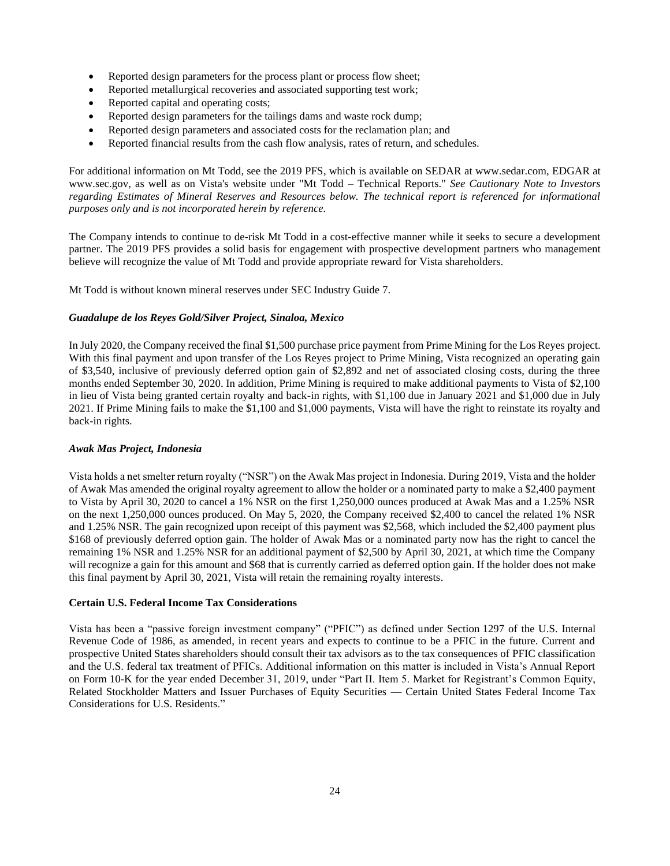- Reported design parameters for the process plant or process flow sheet;
- Reported metallurgical recoveries and associated supporting test work;
- Reported capital and operating costs;
- Reported design parameters for the tailings dams and waste rock dump;
- Reported design parameters and associated costs for the reclamation plan; and
- Reported financial results from the cash flow analysis, rates of return, and schedules.

For additional information on Mt Todd, see the 2019 PFS, which is available on SEDAR at www.sedar.com, EDGAR at www.sec.gov, as well as on Vista's website under "Mt Todd – Technical Reports." *See Cautionary Note to Investors*  regarding Estimates of Mineral Reserves and Resources below. The technical report is referenced for informational *purposes only and is not incorporated herein by reference.*

The Company intends to continue to de-risk Mt Todd in a cost-effective manner while it seeks to secure a development partner. The 2019 PFS provides a solid basis for engagement with prospective development partners who management believe will recognize the value of Mt Todd and provide appropriate reward for Vista shareholders.

Mt Todd is without known mineral reserves under SEC Industry Guide 7.

# *Guadalupe de los Reyes Gold/Silver Project, Sinaloa, Mexico*

In July 2020, the Company received the final \$1,500 purchase price payment from Prime Mining for the Los Reyes project. With this final payment and upon transfer of the Los Reyes project to Prime Mining, Vista recognized an operating gain of \$3,540, inclusive of previously deferred option gain of \$2,892 and net of associated closing costs, during the three months ended September 30, 2020. In addition, Prime Mining is required to make additional payments to Vista of \$2,100 in lieu of Vista being granted certain royalty and back-in rights, with \$1,100 due in January 2021 and \$1,000 due in July 2021. If Prime Mining fails to make the \$1,100 and \$1,000 payments, Vista will have the right to reinstate its royalty and back-in rights.

# *Awak Mas Project, Indonesia*

Vista holds a net smelter return royalty ("NSR") on the Awak Mas project in Indonesia. During 2019, Vista and the holder of Awak Mas amended the original royalty agreement to allow the holder or a nominated party to make a \$2,400 payment to Vista by April 30, 2020 to cancel a 1% NSR on the first 1,250,000 ounces produced at Awak Mas and a 1.25% NSR on the next 1,250,000 ounces produced. On May 5, 2020, the Company received \$2,400 to cancel the related 1% NSR and 1.25% NSR. The gain recognized upon receipt of this payment was \$2,568, which included the \$2,400 payment plus \$168 of previously deferred option gain. The holder of Awak Mas or a nominated party now has the right to cancel the remaining 1% NSR and 1.25% NSR for an additional payment of \$2,500 by April 30, 2021, at which time the Company will recognize a gain for this amount and \$68 that is currently carried as deferred option gain. If the holder does not make this final payment by April 30, 2021, Vista will retain the remaining royalty interests.

# **Certain U.S. Federal Income Tax Considerations**

Vista has been a "passive foreign investment company" ("PFIC") as defined under Section 1297 of the U.S. Internal Revenue Code of 1986, as amended, in recent years and expects to continue to be a PFIC in the future. Current and prospective United States shareholders should consult their tax advisors as to the tax consequences of PFIC classification and the U.S. federal tax treatment of PFICs. Additional information on this matter is included in Vista's Annual Report on Form 10-K for the year ended December 31, 2019, under "Part II. Item 5. Market for Registrant's Common Equity, Related Stockholder Matters and Issuer Purchases of Equity Securities — Certain United States Federal Income Tax Considerations for U.S. Residents."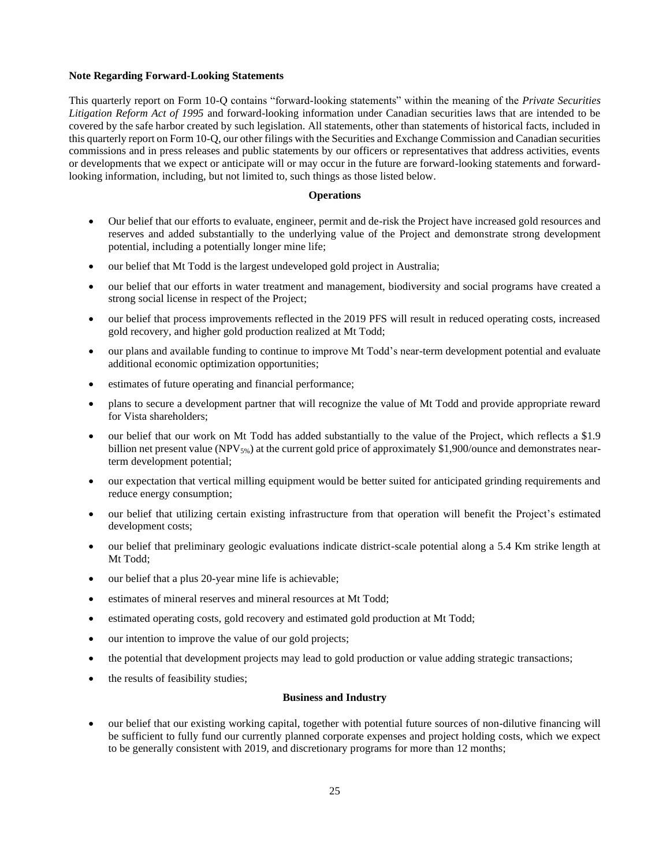# **Note Regarding Forward-Looking Statements**

This quarterly report on Form 10-Q contains "forward-looking statements" within the meaning of the *Private Securities Litigation Reform Act of 1995* and forward-looking information under Canadian securities laws that are intended to be covered by the safe harbor created by such legislation. All statements, other than statements of historical facts, included in this quarterly report on Form 10-Q, our other filings with the Securities and Exchange Commission and Canadian securities commissions and in press releases and public statements by our officers or representatives that address activities, events or developments that we expect or anticipate will or may occur in the future are forward-looking statements and forwardlooking information, including, but not limited to, such things as those listed below.

# **Operations**

- Our belief that our efforts to evaluate, engineer, permit and de-risk the Project have increased gold resources and reserves and added substantially to the underlying value of the Project and demonstrate strong development potential, including a potentially longer mine life;
- our belief that Mt Todd is the largest undeveloped gold project in Australia;
- our belief that our efforts in water treatment and management, biodiversity and social programs have created a strong social license in respect of the Project;
- our belief that process improvements reflected in the 2019 PFS will result in reduced operating costs, increased gold recovery, and higher gold production realized at Mt Todd;
- our plans and available funding to continue to improve Mt Todd's near-term development potential and evaluate additional economic optimization opportunities;
- estimates of future operating and financial performance;
- plans to secure a development partner that will recognize the value of Mt Todd and provide appropriate reward for Vista shareholders;
- our belief that our work on Mt Todd has added substantially to the value of the Project, which reflects a \$1.9 billion net present value (NPV<sub>5%</sub>) at the current gold price of approximately \$1,900/ounce and demonstrates nearterm development potential;
- our expectation that vertical milling equipment would be better suited for anticipated grinding requirements and reduce energy consumption;
- our belief that utilizing certain existing infrastructure from that operation will benefit the Project's estimated development costs;
- our belief that preliminary geologic evaluations indicate district-scale potential along a 5.4 Km strike length at Mt Todd;
- our belief that a plus 20-year mine life is achievable;
- estimates of mineral reserves and mineral resources at Mt Todd;
- estimated operating costs, gold recovery and estimated gold production at Mt Todd;
- our intention to improve the value of our gold projects;
- the potential that development projects may lead to gold production or value adding strategic transactions;
- the results of feasibility studies;

# **Business and Industry**

• our belief that our existing working capital, together with potential future sources of non-dilutive financing will be sufficient to fully fund our currently planned corporate expenses and project holding costs, which we expect to be generally consistent with 2019, and discretionary programs for more than 12 months;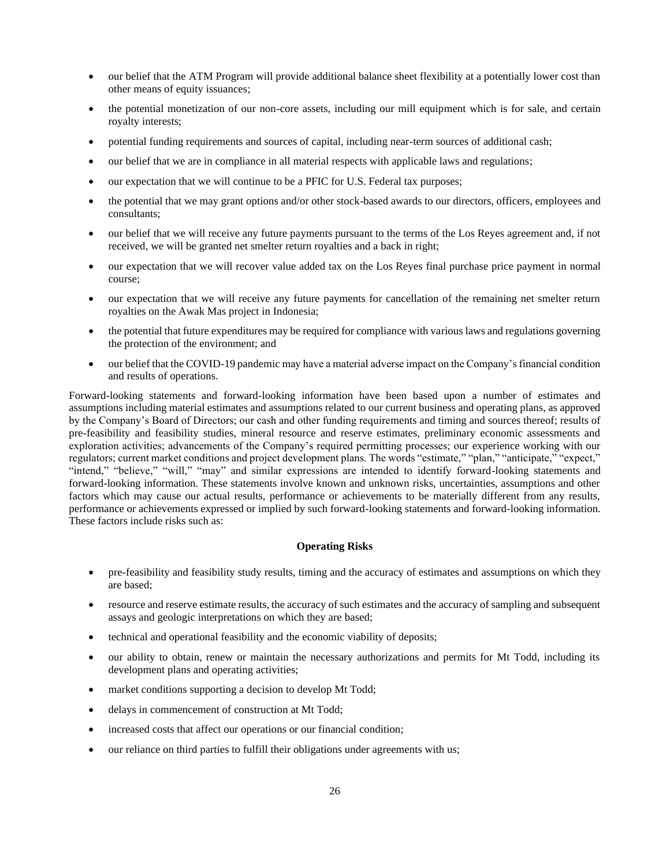- our belief that the ATM Program will provide additional balance sheet flexibility at a potentially lower cost than other means of equity issuances;
- the potential monetization of our non-core assets, including our mill equipment which is for sale, and certain royalty interests;
- potential funding requirements and sources of capital, including near-term sources of additional cash;
- our belief that we are in compliance in all material respects with applicable laws and regulations;
- our expectation that we will continue to be a PFIC for U.S. Federal tax purposes;
- the potential that we may grant options and/or other stock-based awards to our directors, officers, employees and consultants;
- our belief that we will receive any future payments pursuant to the terms of the Los Reyes agreement and, if not received, we will be granted net smelter return royalties and a back in right;
- our expectation that we will recover value added tax on the Los Reyes final purchase price payment in normal course;
- our expectation that we will receive any future payments for cancellation of the remaining net smelter return royalties on the Awak Mas project in Indonesia;
- the potential that future expenditures may be required for compliance with various laws and regulations governing the protection of the environment; and
- our belief that the COVID-19 pandemic may have a material adverse impact on the Company's financial condition and results of operations.

Forward-looking statements and forward-looking information have been based upon a number of estimates and assumptions including material estimates and assumptions related to our current business and operating plans, as approved by the Company's Board of Directors; our cash and other funding requirements and timing and sources thereof; results of pre-feasibility and feasibility studies, mineral resource and reserve estimates, preliminary economic assessments and exploration activities; advancements of the Company's required permitting processes; our experience working with our regulators; current market conditions and project development plans. The words "estimate," "plan," "anticipate," "expect," "intend," "believe," "will," "may" and similar expressions are intended to identify forward-looking statements and forward-looking information. These statements involve known and unknown risks, uncertainties, assumptions and other factors which may cause our actual results, performance or achievements to be materially different from any results, performance or achievements expressed or implied by such forward-looking statements and forward-looking information. These factors include risks such as:

# **Operating Risks**

- pre-feasibility and feasibility study results, timing and the accuracy of estimates and assumptions on which they are based;
- resource and reserve estimate results, the accuracy of such estimates and the accuracy of sampling and subsequent assays and geologic interpretations on which they are based;
- technical and operational feasibility and the economic viability of deposits;
- our ability to obtain, renew or maintain the necessary authorizations and permits for Mt Todd, including its development plans and operating activities;
- market conditions supporting a decision to develop Mt Todd;
- delays in commencement of construction at Mt Todd;
- increased costs that affect our operations or our financial condition;
- our reliance on third parties to fulfill their obligations under agreements with us;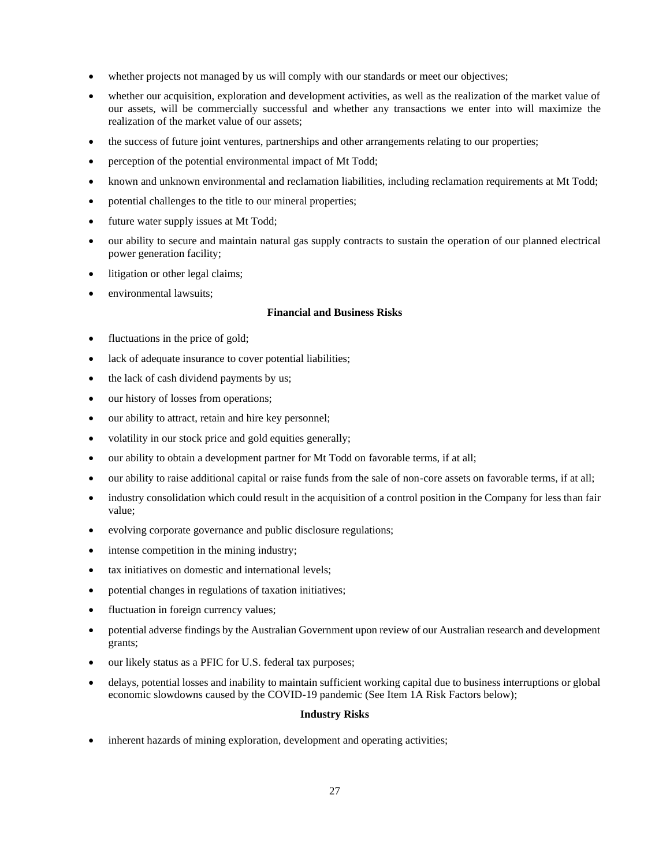- whether projects not managed by us will comply with our standards or meet our objectives;
- whether our acquisition, exploration and development activities, as well as the realization of the market value of our assets, will be commercially successful and whether any transactions we enter into will maximize the realization of the market value of our assets;
- the success of future joint ventures, partnerships and other arrangements relating to our properties;
- perception of the potential environmental impact of Mt Todd;
- known and unknown environmental and reclamation liabilities, including reclamation requirements at Mt Todd;
- potential challenges to the title to our mineral properties;
- future water supply issues at Mt Todd;
- our ability to secure and maintain natural gas supply contracts to sustain the operation of our planned electrical power generation facility;
- litigation or other legal claims;
- environmental lawsuits;

# **Financial and Business Risks**

- fluctuations in the price of gold;
- lack of adequate insurance to cover potential liabilities;
- the lack of cash dividend payments by us;
- our history of losses from operations;
- our ability to attract, retain and hire key personnel;
- volatility in our stock price and gold equities generally;
- our ability to obtain a development partner for Mt Todd on favorable terms, if at all;
- our ability to raise additional capital or raise funds from the sale of non-core assets on favorable terms, if at all;
- industry consolidation which could result in the acquisition of a control position in the Company for less than fair value;
- evolving corporate governance and public disclosure regulations;
- intense competition in the mining industry;
- tax initiatives on domestic and international levels;
- potential changes in regulations of taxation initiatives;
- fluctuation in foreign currency values;
- potential adverse findings by the Australian Government upon review of our Australian research and development grants;
- our likely status as a PFIC for U.S. federal tax purposes;
- delays, potential losses and inability to maintain sufficient working capital due to business interruptions or global economic slowdowns caused by the COVID-19 pandemic (See Item 1A Risk Factors below);

#### **Industry Risks**

inherent hazards of mining exploration, development and operating activities;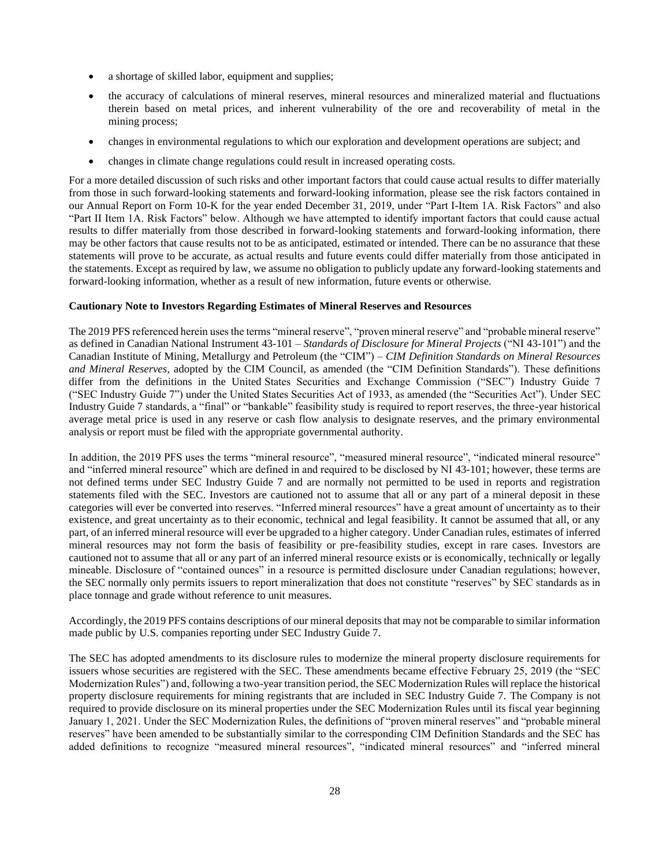- a shortage of skilled labor, equipment and supplies;
- the accuracy of calculations of mineral reserves, mineral resources and mineralized material and fluctuations therein based on metal prices, and inherent vulnerability of the ore and recoverability of metal in the mining process;
- changes in environmental regulations to which our exploration and development operations are subject; and
- changes in climate change regulations could result in increased operating costs.

For a more detailed discussion of such risks and other important factors that could cause actual results to differ materially from those in such forward-looking statements and forward-looking information, please see the risk factors contained in our Annual Report on Form 10-K for the year ended December 31, 2019, under "Part I-Item 1A. Risk Factors" and also "Part II Item 1A. Risk Factors" below. Although we have attempted to identify important factors that could cause actual results to differ materially from those described in forward-looking statements and forward-looking information, there may be other factors that cause results not to be as anticipated, estimated or intended. There can be no assurance that these statements will prove to be accurate, as actual results and future events could differ materially from those anticipated in the statements. Except as required by law, we assume no obligation to publicly update any forward-looking statements and forward-looking information, whether as a result of new information, future events or otherwise.

# **Cautionary Note to Investors Regarding Estimates of Mineral Reserves and Resources**

The 2019 PFS referenced herein uses the terms "mineral reserve", "proven mineral reserve" and "probable mineral reserve" as defined in Canadian National Instrument 43-101 – *Standards of Disclosure for Mineral Projects* ("NI 43-101") and the Canadian Institute of Mining, Metallurgy and Petroleum (the "CIM") – *CIM Definition Standards on Mineral Resources and Mineral Reserves*, adopted by the CIM Council, as amended (the "CIM Definition Standards"). These definitions differ from the definitions in the United States Securities and Exchange Commission ("SEC") Industry Guide 7 ("SEC Industry Guide 7") under the United States Securities Act of 1933, as amended (the "Securities Act"). Under SEC Industry Guide 7 standards, a "final" or "bankable" feasibility study is required to report reserves, the three-year historical average metal price is used in any reserve or cash flow analysis to designate reserves, and the primary environmental analysis or report must be filed with the appropriate governmental authority.

In addition, the 2019 PFS uses the terms "mineral resource", "measured mineral resource", "indicated mineral resource" and "inferred mineral resource" which are defined in and required to be disclosed by NI 43-101; however, these terms are not defined terms under SEC Industry Guide 7 and are normally not permitted to be used in reports and registration statements filed with the SEC. Investors are cautioned not to assume that all or any part of a mineral deposit in these categories will ever be converted into reserves. "Inferred mineral resources" have a great amount of uncertainty as to their existence, and great uncertainty as to their economic, technical and legal feasibility. It cannot be assumed that all, or any part, of an inferred mineral resource will ever be upgraded to a higher category. Under Canadian rules, estimates of inferred mineral resources may not form the basis of feasibility or pre-feasibility studies, except in rare cases. Investors are cautioned not to assume that all or any part of an inferred mineral resource exists or is economically, technically or legally mineable. Disclosure of "contained ounces" in a resource is permitted disclosure under Canadian regulations; however, the SEC normally only permits issuers to report mineralization that does not constitute "reserves" by SEC standards as in place tonnage and grade without reference to unit measures.

Accordingly, the 2019 PFS contains descriptions of our mineral deposits that may not be comparable to similar information made public by U.S. companies reporting under SEC Industry Guide 7.

The SEC has adopted amendments to its disclosure rules to modernize the mineral property disclosure requirements for issuers whose securities are registered with the SEC. These amendments became effective February 25, 2019 (the "SEC Modernization Rules") and, following a two-year transition period, the SEC Modernization Rules will replace the historical property disclosure requirements for mining registrants that are included in SEC Industry Guide 7. The Company is not required to provide disclosure on its mineral properties under the SEC Modernization Rules until its fiscal year beginning January 1, 2021. Under the SEC Modernization Rules, the definitions of "proven mineral reserves" and "probable mineral reserves" have been amended to be substantially similar to the corresponding CIM Definition Standards and the SEC has added definitions to recognize "measured mineral resources", "indicated mineral resources" and "inferred mineral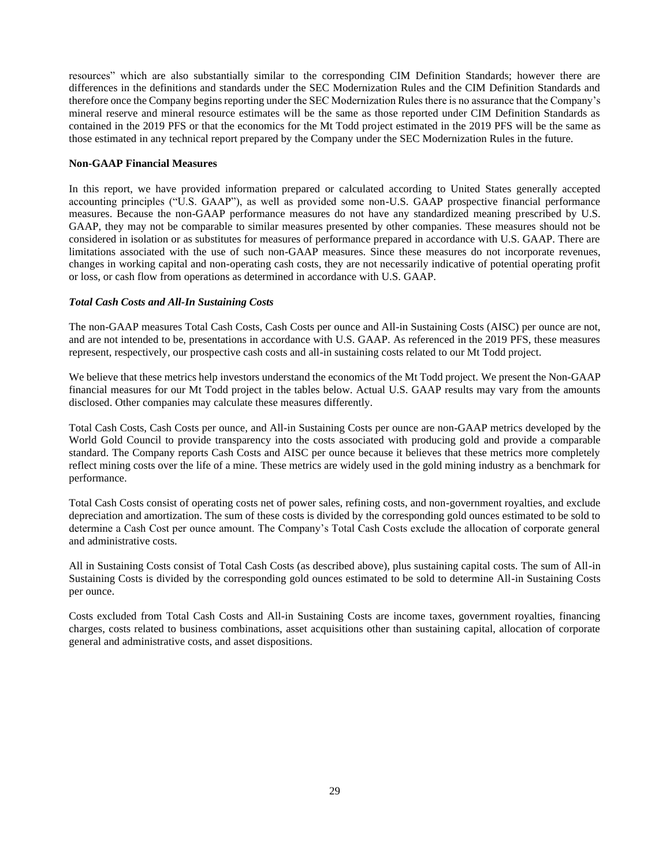resources" which are also substantially similar to the corresponding CIM Definition Standards; however there are differences in the definitions and standards under the SEC Modernization Rules and the CIM Definition Standards and therefore once the Company begins reporting under the SEC Modernization Rules there is no assurance that the Company's mineral reserve and mineral resource estimates will be the same as those reported under CIM Definition Standards as contained in the 2019 PFS or that the economics for the Mt Todd project estimated in the 2019 PFS will be the same as those estimated in any technical report prepared by the Company under the SEC Modernization Rules in the future.

# **Non-GAAP Financial Measures**

In this report, we have provided information prepared or calculated according to United States generally accepted accounting principles ("U.S. GAAP"), as well as provided some non-U.S. GAAP prospective financial performance measures. Because the non-GAAP performance measures do not have any standardized meaning prescribed by U.S. GAAP, they may not be comparable to similar measures presented by other companies. These measures should not be considered in isolation or as substitutes for measures of performance prepared in accordance with U.S. GAAP. There are limitations associated with the use of such non-GAAP measures. Since these measures do not incorporate revenues, changes in working capital and non-operating cash costs, they are not necessarily indicative of potential operating profit or loss, or cash flow from operations as determined in accordance with U.S. GAAP.

# *Total Cash Costs and All-In Sustaining Costs*

The non-GAAP measures Total Cash Costs, Cash Costs per ounce and All-in Sustaining Costs (AISC) per ounce are not, and are not intended to be, presentations in accordance with U.S. GAAP. As referenced in the 2019 PFS, these measures represent, respectively, our prospective cash costs and all-in sustaining costs related to our Mt Todd project.

We believe that these metrics help investors understand the economics of the Mt Todd project. We present the Non-GAAP financial measures for our Mt Todd project in the tables below. Actual U.S. GAAP results may vary from the amounts disclosed. Other companies may calculate these measures differently.

Total Cash Costs, Cash Costs per ounce, and All-in Sustaining Costs per ounce are non-GAAP metrics developed by the World Gold Council to provide transparency into the costs associated with producing gold and provide a comparable standard. The Company reports Cash Costs and AISC per ounce because it believes that these metrics more completely reflect mining costs over the life of a mine. These metrics are widely used in the gold mining industry as a benchmark for performance.

Total Cash Costs consist of operating costs net of power sales, refining costs, and non-government royalties, and exclude depreciation and amortization. The sum of these costs is divided by the corresponding gold ounces estimated to be sold to determine a Cash Cost per ounce amount. The Company's Total Cash Costs exclude the allocation of corporate general and administrative costs.

All in Sustaining Costs consist of Total Cash Costs (as described above), plus sustaining capital costs. The sum of All-in Sustaining Costs is divided by the corresponding gold ounces estimated to be sold to determine All-in Sustaining Costs per ounce.

Costs excluded from Total Cash Costs and All-in Sustaining Costs are income taxes, government royalties, financing charges, costs related to business combinations, asset acquisitions other than sustaining capital, allocation of corporate general and administrative costs, and asset dispositions.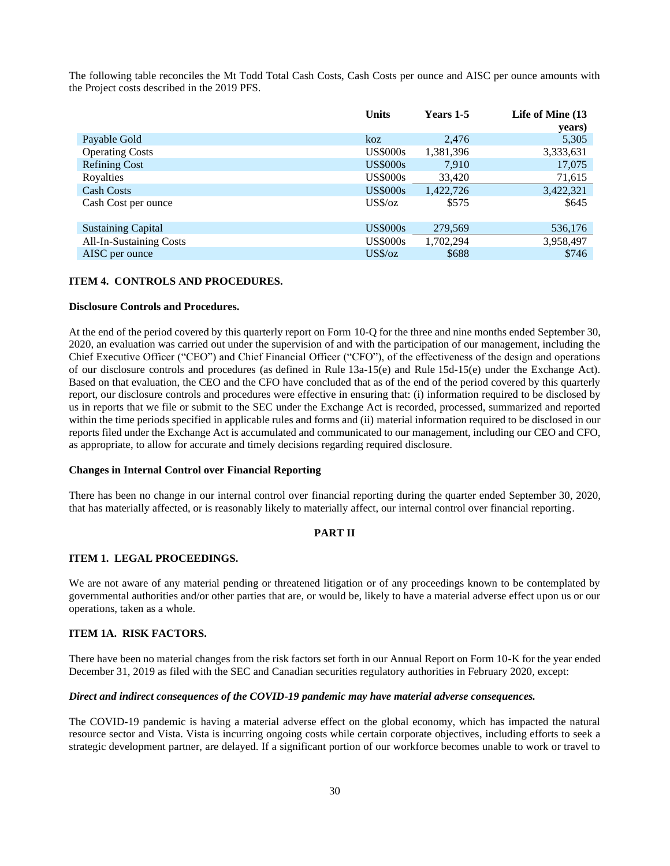The following table reconciles the Mt Todd Total Cash Costs, Cash Costs per ounce and AISC per ounce amounts with the Project costs described in the 2019 PFS.

|                           | <b>Units</b>    | Years 1-5 | Life of Mine (13<br>years) |
|---------------------------|-----------------|-----------|----------------------------|
| Payable Gold              | koz             | 2,476     | 5,305                      |
| <b>Operating Costs</b>    | <b>US\$000s</b> | 1,381,396 | 3,333,631                  |
| <b>Refining Cost</b>      | <b>US\$000s</b> | 7.910     | 17,075                     |
| Royalties                 | <b>US\$000s</b> | 33,420    | 71,615                     |
| <b>Cash Costs</b>         | <b>US\$000s</b> | 1,422,726 | 3,422,321                  |
| Cash Cost per ounce       | $US\%$ /oz      | \$575     | \$645                      |
| <b>Sustaining Capital</b> | <b>US\$000s</b> | 279,569   | 536,176                    |
| All-In-Sustaining Costs   | <b>US\$000s</b> | 1,702,294 | 3,958,497                  |
| AISC per ounce            | $US\%$ /oz      | \$688     | \$746                      |

# <span id="page-29-0"></span>**ITEM 4. CONTROLS AND PROCEDURES.**

# **Disclosure Controls and Procedures.**

At the end of the period covered by this quarterly report on Form 10-Q for the three and nine months ended September 30, 2020, an evaluation was carried out under the supervision of and with the participation of our management, including the Chief Executive Officer ("CEO") and Chief Financial Officer ("CFO"), of the effectiveness of the design and operations of our disclosure controls and procedures (as defined in Rule 13a-15(e) and Rule 15d-15(e) under the Exchange Act). Based on that evaluation, the CEO and the CFO have concluded that as of the end of the period covered by this quarterly report, our disclosure controls and procedures were effective in ensuring that: (i) information required to be disclosed by us in reports that we file or submit to the SEC under the Exchange Act is recorded, processed, summarized and reported within the time periods specified in applicable rules and forms and (ii) material information required to be disclosed in our reports filed under the Exchange Act is accumulated and communicated to our management, including our CEO and CFO, as appropriate, to allow for accurate and timely decisions regarding required disclosure.

#### **Changes in Internal Control over Financial Reporting**

There has been no change in our internal control over financial reporting during the quarter ended September 30, 2020, that has materially affected, or is reasonably likely to materially affect, our internal control over financial reporting.

# <span id="page-29-2"></span><span id="page-29-1"></span>**PART II**

# **ITEM 1. LEGAL PROCEEDINGS.**

We are not aware of any material pending or threatened litigation or of any proceedings known to be contemplated by governmental authorities and/or other parties that are, or would be, likely to have a material adverse effect upon us or our operations, taken as a whole.

# <span id="page-29-3"></span>**ITEM 1A. RISK FACTORS.**

There have been no material changes from the risk factors set forth in our Annual Report on Form 10-K for the year ended December 31, 2019 as filed with the SEC and Canadian securities regulatory authorities in February 2020, except:

# *Direct and indirect consequences of the COVID-19 pandemic may have material adverse consequences.*

The COVID-19 pandemic is having a material adverse effect on the global economy, which has impacted the natural resource sector and Vista. Vista is incurring ongoing costs while certain corporate objectives, including efforts to seek a strategic development partner, are delayed. If a significant portion of our workforce becomes unable to work or travel to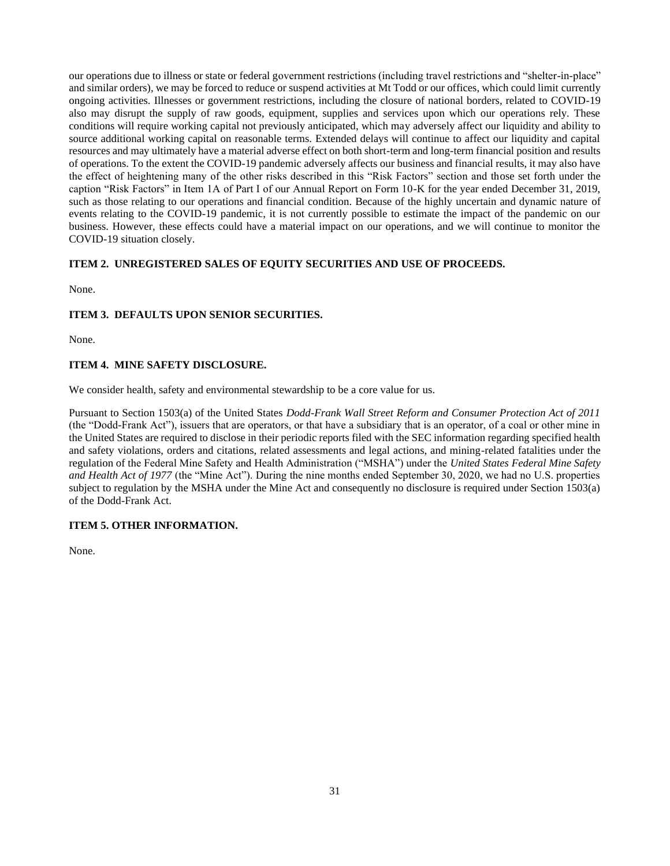our operations due to illness or state or federal government restrictions (including travel restrictions and "shelter-in-place" and similar orders), we may be forced to reduce or suspend activities at Mt Todd or our offices, which could limit currently ongoing activities. Illnesses or government restrictions, including the closure of national borders, related to COVID-19 also may disrupt the supply of raw goods, equipment, supplies and services upon which our operations rely. These conditions will require working capital not previously anticipated, which may adversely affect our liquidity and ability to source additional working capital on reasonable terms. Extended delays will continue to affect our liquidity and capital resources and may ultimately have a material adverse effect on both short-term and long-term financial position and results of operations. To the extent the COVID-19 pandemic adversely affects our business and financial results, it may also have the effect of heightening many of the other risks described in this "Risk Factors" section and those set forth under the caption "Risk Factors" in Item 1A of Part I of our Annual Report on Form 10-K for the year ended December 31, 2019, such as those relating to our operations and financial condition. Because of the highly uncertain and dynamic nature of events relating to the COVID-19 pandemic, it is not currently possible to estimate the impact of the pandemic on our business. However, these effects could have a material impact on our operations, and we will continue to monitor the COVID-19 situation closely.

# <span id="page-30-0"></span>**ITEM 2. UNREGISTERED SALES OF EQUITY SECURITIES AND USE OF PROCEEDS.**

None.

# <span id="page-30-1"></span>**ITEM 3. DEFAULTS UPON SENIOR SECURITIES.**

None.

# <span id="page-30-2"></span>**ITEM 4. MINE SAFETY DISCLOSURE.**

We consider health, safety and environmental stewardship to be a core value for us.

Pursuant to Section 1503(a) of the United States *Dodd-Frank Wall Street Reform and Consumer Protection Act of 2011* (the "Dodd-Frank Act"), issuers that are operators, or that have a subsidiary that is an operator, of a coal or other mine in the United States are required to disclose in their periodic reports filed with the SEC information regarding specified health and safety violations, orders and citations, related assessments and legal actions, and mining-related fatalities under the regulation of the Federal Mine Safety and Health Administration ("MSHA") under the *United States Federal Mine Safety and Health Act of 1977* (the "Mine Act"). During the nine months ended September 30, 2020, we had no U.S. properties subject to regulation by the MSHA under the Mine Act and consequently no disclosure is required under Section 1503(a) of the Dodd-Frank Act.

# <span id="page-30-3"></span>**ITEM 5. OTHER INFORMATION.**

None.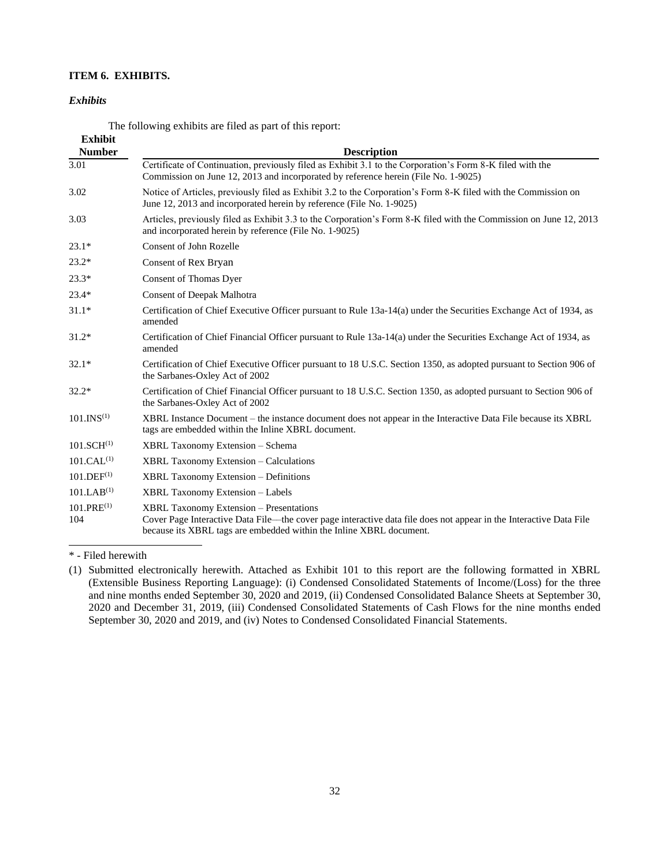# **ITEM 6. EXHIBITS.**

# *Exhibits*

<span id="page-31-0"></span>The following exhibits are filed as part of this report:

| <b>Exhibit</b>         |                                                                                                                                                                                                                                             |
|------------------------|---------------------------------------------------------------------------------------------------------------------------------------------------------------------------------------------------------------------------------------------|
| <b>Number</b>          | <b>Description</b>                                                                                                                                                                                                                          |
| 3.01                   | Certificate of Continuation, previously filed as Exhibit 3.1 to the Corporation's Form 8-K filed with the<br>Commission on June 12, 2013 and incorporated by reference herein (File No. 1-9025)                                             |
| 3.02                   | Notice of Articles, previously filed as Exhibit 3.2 to the Corporation's Form 8-K filed with the Commission on<br>June 12, 2013 and incorporated herein by reference (File No. 1-9025)                                                      |
| 3.03                   | Articles, previously filed as Exhibit 3.3 to the Corporation's Form 8-K filed with the Commission on June 12, 2013<br>and incorporated herein by reference (File No. 1-9025)                                                                |
| $23.1*$                | <b>Consent of John Rozelle</b>                                                                                                                                                                                                              |
| $23.2*$                | Consent of Rex Bryan                                                                                                                                                                                                                        |
| $23.3*$                | Consent of Thomas Dyer                                                                                                                                                                                                                      |
| $23.4*$                | Consent of Deepak Malhotra                                                                                                                                                                                                                  |
| $31.1*$                | Certification of Chief Executive Officer pursuant to Rule 13a-14(a) under the Securities Exchange Act of 1934, as<br>amended                                                                                                                |
| $31.2*$                | Certification of Chief Financial Officer pursuant to Rule 13a-14(a) under the Securities Exchange Act of 1934, as<br>amended                                                                                                                |
| $32.1*$                | Certification of Chief Executive Officer pursuant to 18 U.S.C. Section 1350, as adopted pursuant to Section 906 of<br>the Sarbanes-Oxley Act of 2002                                                                                        |
| $32.2*$                | Certification of Chief Financial Officer pursuant to 18 U.S.C. Section 1350, as adopted pursuant to Section 906 of<br>the Sarbanes-Oxley Act of 2002                                                                                        |
| 101.INS <sup>(1)</sup> | XBRL Instance Document – the instance document does not appear in the Interactive Data File because its XBRL<br>tags are embedded within the Inline XBRL document.                                                                          |
| 101.SCH <sup>(1)</sup> | XBRL Taxonomy Extension - Schema                                                                                                                                                                                                            |
| 101.CAL <sup>(1)</sup> | <b>XBRL Taxonomy Extension – Calculations</b>                                                                                                                                                                                               |
| $101.DEF^{(1)}$        | <b>XBRL Taxonomy Extension – Definitions</b>                                                                                                                                                                                                |
| 101.LAB <sup>(1)</sup> | <b>XBRL Taxonomy Extension - Labels</b>                                                                                                                                                                                                     |
| $101.PRE^{(1)}$<br>104 | <b>XBRL Taxonomy Extension – Presentations</b><br>Cover Page Interactive Data File—the cover page interactive data file does not appear in the Interactive Data File<br>because its XBRL tags are embedded within the Inline XBRL document. |

\* - Filed herewith

<sup>(1)</sup> Submitted electronically herewith. Attached as Exhibit 101 to this report are the following formatted in XBRL (Extensible Business Reporting Language): (i) Condensed Consolidated Statements of Income/(Loss) for the three and nine months ended September 30, 2020 and 2019, (ii) Condensed Consolidated Balance Sheets at September 30, 2020 and December 31, 2019, (iii) Condensed Consolidated Statements of Cash Flows for the nine months ended September 30, 2020 and 2019, and (iv) Notes to Condensed Consolidated Financial Statements.